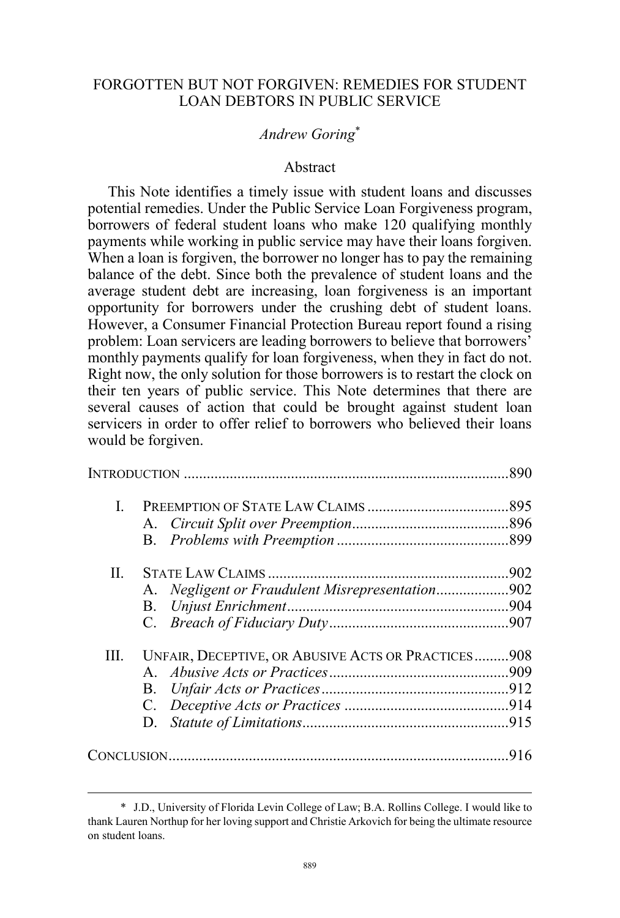# FORGOTTEN BUT NOT FORGIVEN: REMEDIES FOR STUDENT LOAN DEBTORS IN PUBLIC SERVICE

# *Andrew Goring*\*

# Abstract

This Note identifies a timely issue with student loans and discusses potential remedies. Under the Public Service Loan Forgiveness program, borrowers of federal student loans who make 120 qualifying monthly payments while working in public service may have their loans forgiven. When a loan is forgiven, the borrower no longer has to pay the remaining balance of the debt. Since both the prevalence of student loans and the average student debt are increasing, loan forgiveness is an important opportunity for borrowers under the crushing debt of student loans. However, a Consumer Financial Protection Bureau report found a rising problem: Loan servicers are leading borrowers to believe that borrowers' monthly payments qualify for loan forgiveness, when they in fact do not. Right now, the only solution for those borrowers is to restart the clock on their ten years of public service. This Note determines that there are several causes of action that could be brought against student loan servicers in order to offer relief to borrowers who believed their loans would be forgiven.

| $\mathbf{I}$ . |                                                    |     |
|----------------|----------------------------------------------------|-----|
|                |                                                    |     |
|                |                                                    |     |
| П.             |                                                    |     |
|                | A. Negligent or Fraudulent Misrepresentation902    |     |
|                | B.                                                 |     |
|                |                                                    |     |
| III.           | UNFAIR, DECEPTIVE, OR ABUSIVE ACTS OR PRACTICES908 |     |
|                |                                                    |     |
|                |                                                    |     |
|                |                                                    |     |
|                | D.                                                 |     |
| CONCLUSION     |                                                    | 916 |

 <sup>\*</sup> J.D., University of Florida Levin College of Law; B.A. Rollins College. I would like to thank Lauren Northup for her loving support and Christie Arkovich for being the ultimate resource on student loans.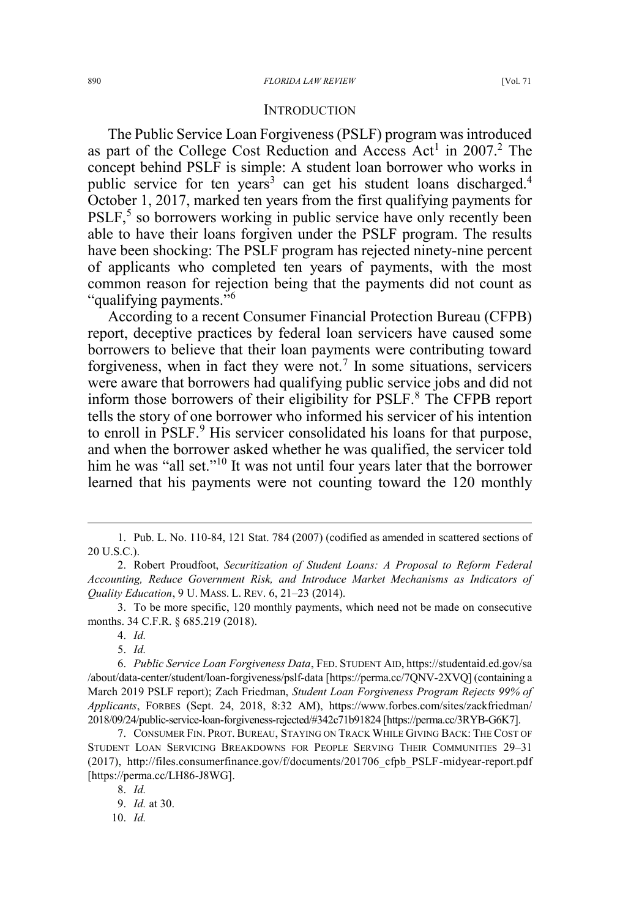#### **INTRODUCTION**

The Public Service Loan Forgiveness (PSLF) program was introduced as part of the College Cost Reduction and Access Act<sup>1</sup> in 2007.<sup>2</sup> The concept behind PSLF is simple: A student loan borrower who works in public service for ten years<sup>3</sup> can get his student loans discharged.<sup>4</sup> October 1, 2017, marked ten years from the first qualifying payments for  $PSLF<sub>2</sub>$ <sup>5</sup> so borrowers working in public service have only recently been able to have their loans forgiven under the PSLF program. The results have been shocking: The PSLF program has rejected ninety-nine percent of applicants who completed ten years of payments, with the most common reason for rejection being that the payments did not count as "qualifying payments."<sup>6</sup>

According to a recent Consumer Financial Protection Bureau (CFPB) report, deceptive practices by federal loan servicers have caused some borrowers to believe that their loan payments were contributing toward forgiveness, when in fact they were not.<sup>7</sup> In some situations, servicers were aware that borrowers had qualifying public service jobs and did not inform those borrowers of their eligibility for PSLF.<sup>8</sup> The CFPB report tells the story of one borrower who informed his servicer of his intention to enroll in PSLF.<sup>9</sup> His servicer consolidated his loans for that purpose, and when the borrower asked whether he was qualified, the servicer told him he was "all set."<sup>10</sup> It was not until four years later that the borrower learned that his payments were not counting toward the 120 monthly

3. To be more specific, 120 monthly payments, which need not be made on consecutive months. 34 C.F.R. § 685.219 (2018).

10. *Id.*

 <sup>1.</sup> Pub. L. No. 110-84, 121 Stat. 784 (2007) (codified as amended in scattered sections of 20 U.S.C.).

<sup>2.</sup> Robert Proudfoot, *Securitization of Student Loans: A Proposal to Reform Federal Accounting, Reduce Government Risk, and Introduce Market Mechanisms as Indicators of Quality Education*, 9 U. MASS. L. REV. 6, 21–23 (2014).

<sup>4.</sup> *Id.*

<sup>5.</sup> *Id.*

<sup>6.</sup> *Public Service Loan Forgiveness Data*, FED. STUDENT AID, https://studentaid.ed.gov/sa /about/data-center/student/loan-forgiveness/pslf-data [https://perma.cc/7QNV-2XVQ] (containing a March 2019 PSLF report); Zach Friedman, *Student Loan Forgiveness Program Rejects 99% of Applicants*, FORBES (Sept. 24, 2018, 8:32 AM), https://www.forbes.com/sites/zackfriedman/ 2018/09/24/public-service-loan-forgiveness-rejected/#342c71b91824 [https://perma.cc/3RYB-G6K7].

<sup>7.</sup> CONSUMER FIN. PROT. BUREAU, STAYING ON TRACK WHILE GIVING BACK: THE COST OF STUDENT LOAN SERVICING BREAKDOWNS FOR PEOPLE SERVING THEIR COMMUNITIES 29–31 (2017), http://files.consumerfinance.gov/f/documents/201706\_cfpb\_PSLF-midyear-report.pdf [https://perma.cc/LH86-J8WG].

<sup>8.</sup> *Id.*

<sup>9.</sup> *Id.* at 30.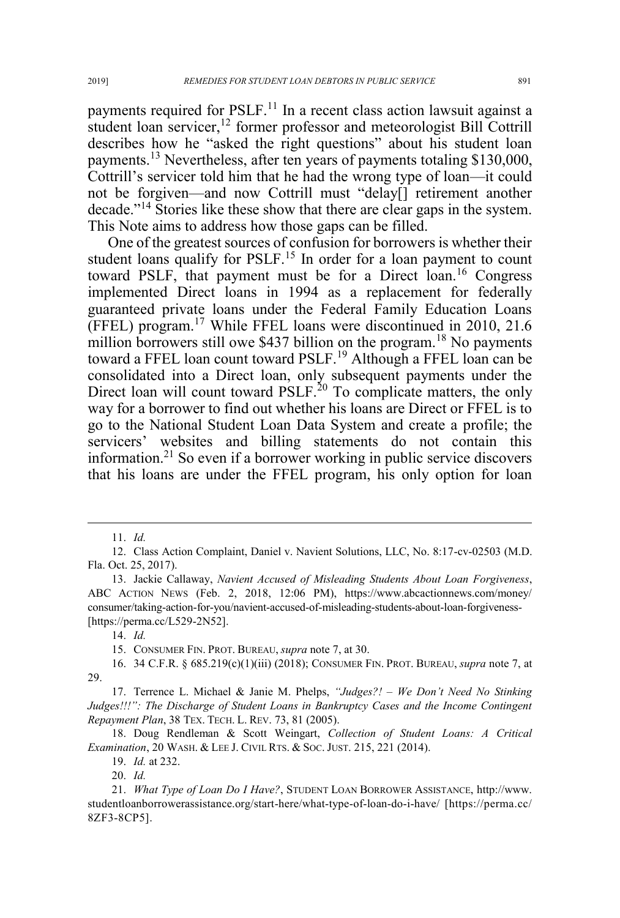payments required for PSLF.<sup>11</sup> In a recent class action lawsuit against a student loan servicer,<sup>12</sup> former professor and meteorologist Bill Cottrill describes how he "asked the right questions" about his student loan payments.<sup>13</sup> Nevertheless, after ten years of payments totaling \$130,000, Cottrill's servicer told him that he had the wrong type of loan—it could not be forgiven—and now Cottrill must "delay[] retirement another decade."<sup>14</sup> Stories like these show that there are clear gaps in the system. This Note aims to address how those gaps can be filled.

One of the greatest sources of confusion for borrowers is whether their student loans qualify for PSLF.<sup>15</sup> In order for a loan payment to count toward PSLF, that payment must be for a Direct loan.<sup>16</sup> Congress implemented Direct loans in 1994 as a replacement for federally guaranteed private loans under the Federal Family Education Loans (FFEL) program.<sup>17</sup> While FFEL loans were discontinued in 2010, 21.6 million borrowers still owe \$437 billion on the program.<sup>18</sup> No payments toward a FFEL loan count toward PSLF.<sup>19</sup> Although a FFEL loan can be consolidated into a Direct loan, only subsequent payments under the Direct loan will count toward  $PSLF<sup>20</sup>$  To complicate matters, the only way for a borrower to find out whether his loans are Direct or FFEL is to go to the National Student Loan Data System and create a profile; the servicers' websites and billing statements do not contain this information.<sup>21</sup> So even if a borrower working in public service discovers that his loans are under the FFEL program, his only option for loan

15. CONSUMER FIN. PROT. BUREAU, *supra* note 7, at 30.

20. *Id.*

 <sup>11.</sup> *Id.*

<sup>12.</sup> Class Action Complaint, Daniel v. Navient Solutions, LLC, No. 8:17-cv-02503 (M.D. Fla. Oct. 25, 2017).

<sup>13.</sup> Jackie Callaway, *Navient Accused of Misleading Students About Loan Forgiveness*, ABC ACTION NEWS (Feb. 2, 2018, 12:06 PM), https://www.abcactionnews.com/money/ consumer/taking-action-for-you/navient-accused-of-misleading-students-about-loan-forgiveness- [https://perma.cc/L529-2N52].

<sup>14.</sup> *Id.*

<sup>16. 34</sup> C.F.R. § 685.219(c)(1)(iii) (2018); CONSUMER FIN. PROT. BUREAU, *supra* note 7, at 29.

<sup>17.</sup> Terrence L. Michael & Janie M. Phelps, *"Judges?! – We Don't Need No Stinking Judges!!!": The Discharge of Student Loans in Bankruptcy Cases and the Income Contingent Repayment Plan*, 38 TEX. TECH. L. REV. 73, 81 (2005).

<sup>18.</sup> Doug Rendleman & Scott Weingart, *Collection of Student Loans: A Critical Examination*, 20 WASH.&LEE J. CIVIL RTS.&SOC. JUST. 215, 221 (2014).

<sup>19.</sup> *Id.* at 232.

<sup>21.</sup> *What Type of Loan Do I Have?*, STUDENT LOAN BORROWER ASSISTANCE, http://www. studentloanborrowerassistance.org/start-here/what-type-of-loan-do-i-have/ [https://perma.cc/ 8ZF3-8CP5].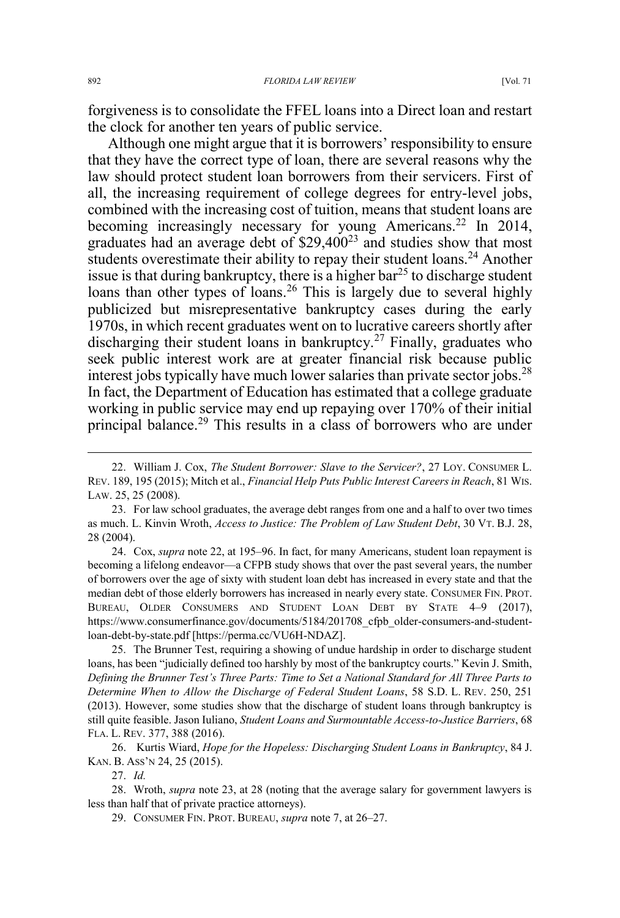forgiveness is to consolidate the FFEL loans into a Direct loan and restart the clock for another ten years of public service.

Although one might argue that it is borrowers' responsibility to ensure that they have the correct type of loan, there are several reasons why the law should protect student loan borrowers from their servicers. First of all, the increasing requirement of college degrees for entry-level jobs, combined with the increasing cost of tuition, means that student loans are becoming increasingly necessary for young Americans.<sup>22</sup> In 2014, graduates had an average debt of  $$29,400^{23}$  and studies show that most students overestimate their ability to repay their student loans.<sup>24</sup> Another issue is that during bankruptcy, there is a higher  $bar^{25}$  to discharge student loans than other types of loans.<sup>26</sup> This is largely due to several highly publicized but misrepresentative bankruptcy cases during the early 1970s, in which recent graduates went on to lucrative careers shortly after discharging their student loans in bankruptcy.<sup>27</sup> Finally, graduates who seek public interest work are at greater financial risk because public interest jobs typically have much lower salaries than private sector jobs.<sup>28</sup> In fact, the Department of Education has estimated that a college graduate working in public service may end up repaying over 170% of their initial principal balance.<sup>29</sup> This results in a class of borrowers who are under

25. The Brunner Test, requiring a showing of undue hardship in order to discharge student loans, has been "judicially defined too harshly by most of the bankruptcy courts." Kevin J. Smith, *Defining the Brunner Test's Three Parts: Time to Set a National Standard for All Three Parts to Determine When to Allow the Discharge of Federal Student Loans*, 58 S.D. L. REV. 250, 251 (2013). However, some studies show that the discharge of student loans through bankruptcy is still quite feasible. Jason Iuliano, *Student Loans and Surmountable Access-to-Justice Barriers*, 68 FLA. L. REV. 377, 388 (2016).

26. Kurtis Wiard, *Hope for the Hopeless: Discharging Student Loans in Bankruptcy*, 84 J. KAN. B. ASS'N 24, 25 (2015).

27. *Id.*

28. Wroth, *supra* note 23, at 28 (noting that the average salary for government lawyers is less than half that of private practice attorneys).

29. CONSUMER FIN. PROT. BUREAU, *supra* note 7, at 26–27.

 <sup>22.</sup> William J. Cox, *The Student Borrower: Slave to the Servicer?*, 27 LOY. CONSUMER L. REV. 189, 195 (2015); Mitch et al., *Financial Help Puts Public Interest Careers in Reach*, 81 WIS. LAW. 25, 25 (2008).

<sup>23.</sup> For law school graduates, the average debt ranges from one and a half to over two times as much. L. Kinvin Wroth, *Access to Justice: The Problem of Law Student Debt*, 30 VT. B.J. 28, 28 (2004).

<sup>24.</sup> Cox, *supra* note 22, at 195–96. In fact, for many Americans, student loan repayment is becoming a lifelong endeavor—a CFPB study shows that over the past several years, the number of borrowers over the age of sixty with student loan debt has increased in every state and that the median debt of those elderly borrowers has increased in nearly every state. CONSUMER FIN. PROT. BUREAU, OLDER CONSUMERS AND STUDENT LOAN DEBT BY STATE 4–9 (2017), https://www.consumerfinance.gov/documents/5184/201708\_cfpb\_older-consumers-and-studentloan-debt-by-state.pdf [https://perma.cc/VU6H-NDAZ].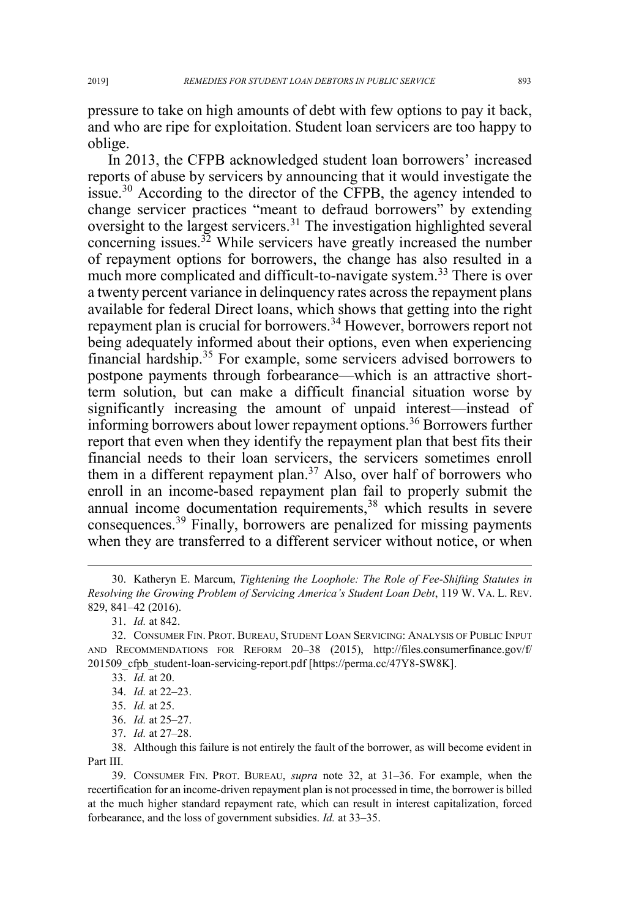pressure to take on high amounts of debt with few options to pay it back, and who are ripe for exploitation. Student loan servicers are too happy to oblige.

In 2013, the CFPB acknowledged student loan borrowers' increased reports of abuse by servicers by announcing that it would investigate the issue.<sup>30</sup> According to the director of the CFPB, the agency intended to change servicer practices "meant to defraud borrowers" by extending oversight to the largest servicers.<sup>31</sup> The investigation highlighted several concerning issues. $3^2$  While servicers have greatly increased the number of repayment options for borrowers, the change has also resulted in a much more complicated and difficult-to-navigate system.<sup>33</sup> There is over a twenty percent variance in delinquency rates across the repayment plans available for federal Direct loans, which shows that getting into the right repayment plan is crucial for borrowers.<sup>34</sup> However, borrowers report not being adequately informed about their options, even when experiencing financial hardship.<sup>35</sup> For example, some servicers advised borrowers to postpone payments through forbearance—which is an attractive shortterm solution, but can make a difficult financial situation worse by significantly increasing the amount of unpaid interest—instead of informing borrowers about lower repayment options.<sup>36</sup> Borrowers further report that even when they identify the repayment plan that best fits their financial needs to their loan servicers, the servicers sometimes enroll them in a different repayment plan.<sup>37</sup> Also, over half of borrowers who enroll in an income-based repayment plan fail to properly submit the annual income documentation requirements,<sup>38</sup> which results in severe consequences.<sup>39</sup> Finally, borrowers are penalized for missing payments when they are transferred to a different servicer without notice, or when

- 33. *Id.* at 20.
- 34. *Id.* at 22–23.
- 35. *Id.* at 25.
- 36. *Id.* at 25–27.
- 37. *Id.* at 27–28.

38. Although this failure is not entirely the fault of the borrower, as will become evident in Part III.

39. CONSUMER FIN. PROT. BUREAU, *supra* note 32, at 31–36. For example, when the recertification for an income-driven repayment plan is not processed in time, the borrower is billed at the much higher standard repayment rate, which can result in interest capitalization, forced forbearance, and the loss of government subsidies. *Id.* at 33–35.

 <sup>30.</sup> Katheryn E. Marcum, *Tightening the Loophole: The Role of Fee-Shifting Statutes in Resolving the Growing Problem of Servicing America's Student Loan Debt*, 119 W. VA. L. REV. 829, 841–42 (2016).

<sup>31.</sup> *Id.* at 842.

<sup>32.</sup> CONSUMER FIN. PROT. BUREAU, STUDENT LOAN SERVICING: ANALYSIS OF PUBLIC INPUT AND RECOMMENDATIONS FOR REFORM 20–38 (2015), http://files.consumerfinance.gov/f/ 201509\_cfpb\_student-loan-servicing-report.pdf [https://perma.cc/47Y8-SW8K].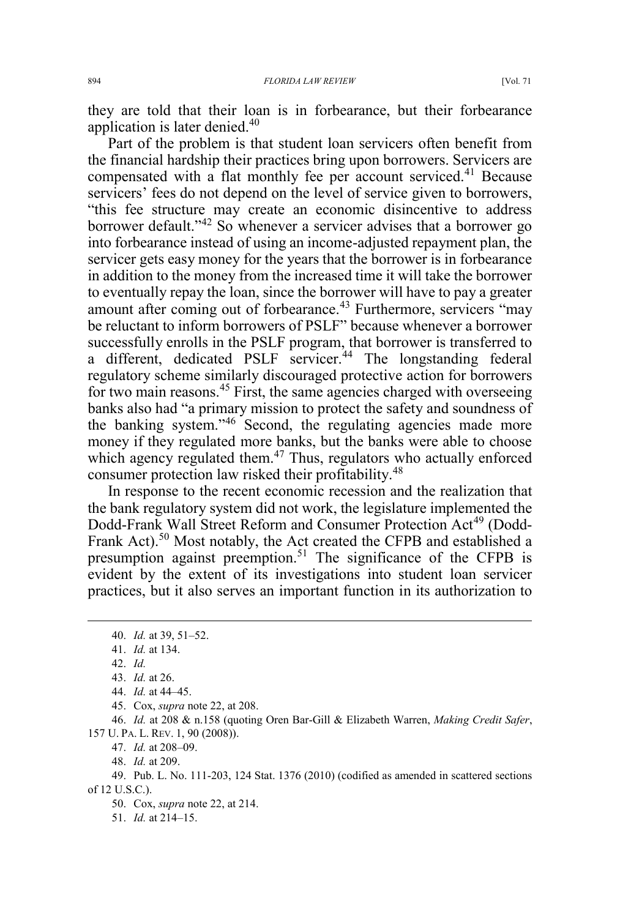they are told that their loan is in forbearance, but their forbearance application is later denied.<sup>40</sup>

Part of the problem is that student loan servicers often benefit from the financial hardship their practices bring upon borrowers. Servicers are compensated with a flat monthly fee per account serviced.<sup>41</sup> Because servicers' fees do not depend on the level of service given to borrowers, "this fee structure may create an economic disincentive to address borrower default."<sup>42</sup> So whenever a servicer advises that a borrower go into forbearance instead of using an income-adjusted repayment plan, the servicer gets easy money for the years that the borrower is in forbearance in addition to the money from the increased time it will take the borrower to eventually repay the loan, since the borrower will have to pay a greater amount after coming out of forbearance.<sup>43</sup> Furthermore, servicers "may be reluctant to inform borrowers of PSLF" because whenever a borrower successfully enrolls in the PSLF program, that borrower is transferred to a different, dedicated PSLF servicer.<sup>44</sup> The longstanding federal regulatory scheme similarly discouraged protective action for borrowers for two main reasons.<sup>45</sup> First, the same agencies charged with overseeing banks also had "a primary mission to protect the safety and soundness of the banking system."<sup>46</sup> Second, the regulating agencies made more money if they regulated more banks, but the banks were able to choose which agency regulated them. $47$  Thus, regulators who actually enforced consumer protection law risked their profitability.<sup>48</sup>

In response to the recent economic recession and the realization that the bank regulatory system did not work, the legislature implemented the Dodd-Frank Wall Street Reform and Consumer Protection Act<sup>49</sup> (Dodd-Frank Act).<sup>50</sup> Most notably, the Act created the CFPB and established a presumption against preemption.<sup>51</sup> The significance of the CFPB is evident by the extent of its investigations into student loan servicer practices, but it also serves an important function in its authorization to

45. Cox, *supra* note 22, at 208.

46. *Id.* at 208 & n.158 (quoting Oren Bar-Gill & Elizabeth Warren, *Making Credit Safer*, 157 U. PA. L. REV. 1, 90 (2008)).

47. *Id.* at 208–09.

48. *Id.* at 209.

50. Cox, *supra* note 22, at 214.

51. *Id.* at 214–15.

 <sup>40.</sup> *Id.* at 39, 51–52.

<sup>41.</sup> *Id.* at 134.

<sup>42.</sup> *Id.*

<sup>43.</sup> *Id.* at 26.

<sup>44.</sup> *Id.* at 44–45.

<sup>49.</sup> Pub. L. No. 111-203, 124 Stat. 1376 (2010) (codified as amended in scattered sections of 12 U.S.C.).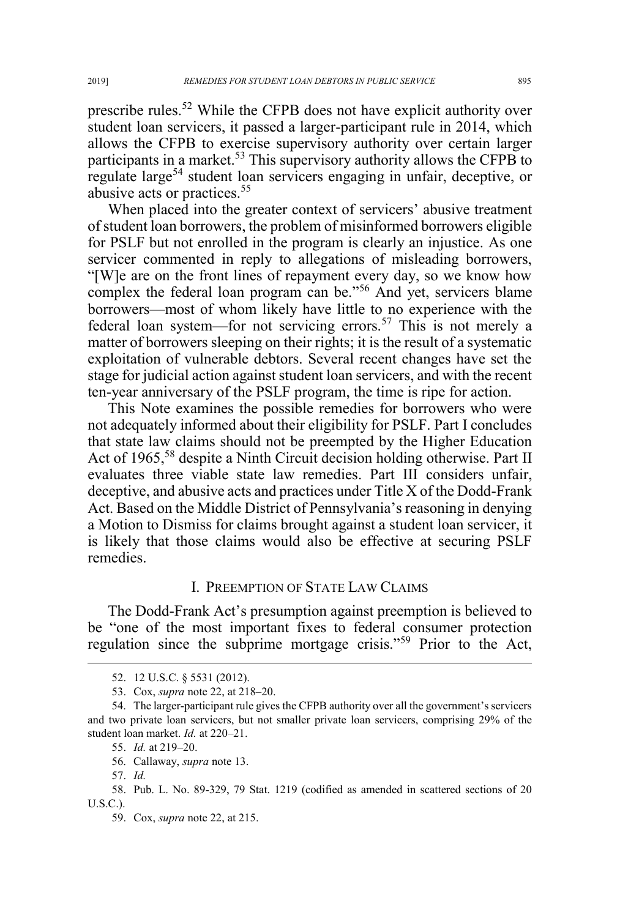prescribe rules.<sup>52</sup> While the CFPB does not have explicit authority over student loan servicers, it passed a larger-participant rule in 2014, which allows the CFPB to exercise supervisory authority over certain larger participants in a market.<sup>53</sup> This supervisory authority allows the CFPB to regulate large<sup>54</sup> student loan servicers engaging in unfair, deceptive, or abusive acts or practices.<sup>55</sup>

When placed into the greater context of servicers' abusive treatment of student loan borrowers, the problem of misinformed borrowers eligible for PSLF but not enrolled in the program is clearly an injustice. As one servicer commented in reply to allegations of misleading borrowers, "[W]e are on the front lines of repayment every day, so we know how complex the federal loan program can be."<sup>56</sup> And yet, servicers blame borrowers—most of whom likely have little to no experience with the federal loan system—for not servicing errors.<sup>57</sup> This is not merely a matter of borrowers sleeping on their rights; it is the result of a systematic exploitation of vulnerable debtors. Several recent changes have set the stage for judicial action against student loan servicers, and with the recent ten-year anniversary of the PSLF program, the time is ripe for action.

This Note examines the possible remedies for borrowers who were not adequately informed about their eligibility for PSLF. Part I concludes that state law claims should not be preempted by the Higher Education Act of 1965,<sup>58</sup> despite a Ninth Circuit decision holding otherwise. Part II evaluates three viable state law remedies. Part III considers unfair, deceptive, and abusive acts and practices under Title X of the Dodd-Frank Act. Based on the Middle District of Pennsylvania's reasoning in denying a Motion to Dismiss for claims brought against a student loan servicer, it is likely that those claims would also be effective at securing PSLF remedies.

### I. PREEMPTION OF STATE LAW CLAIMS

The Dodd-Frank Act's presumption against preemption is believed to be "one of the most important fixes to federal consumer protection regulation since the subprime mortgage crisis."<sup>59</sup> Prior to the Act,

 <sup>52. 12</sup> U.S.C. § 5531 (2012).

<sup>53.</sup> Cox, *supra* note 22, at 218–20.

<sup>54.</sup> The larger-participant rule gives the CFPB authority over all the government's servicers and two private loan servicers, but not smaller private loan servicers, comprising 29% of the student loan market. *Id.* at 220–21.

<sup>55.</sup> *Id.* at 219–20.

<sup>56.</sup> Callaway, *supra* note 13.

<sup>57.</sup> *Id.*

<sup>58.</sup> Pub. L. No. 89-329, 79 Stat. 1219 (codified as amended in scattered sections of 20 U.S.C.).

<sup>59.</sup> Cox, *supra* note 22, at 215.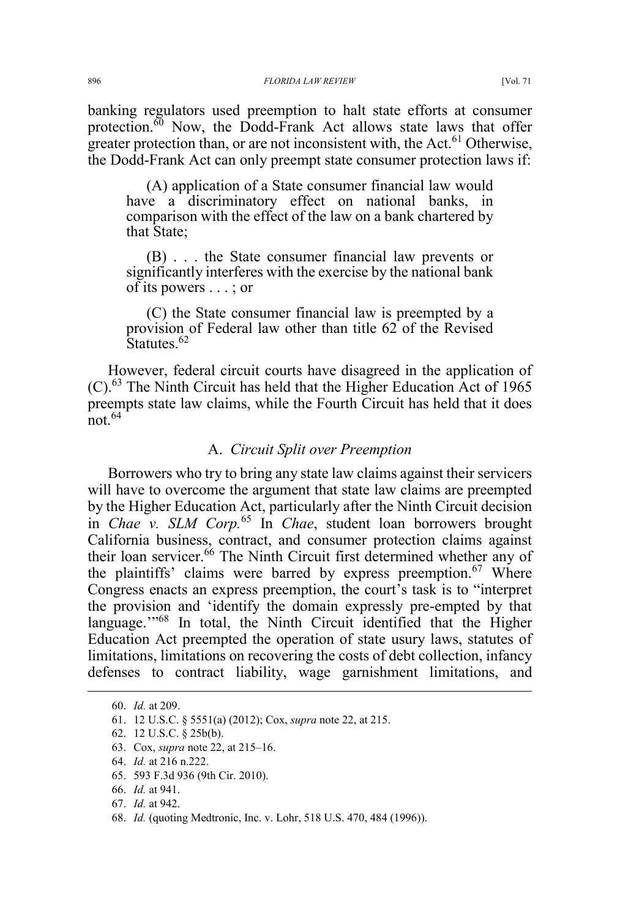banking regulators used preemption to halt state efforts at consumer protection. $60$  Now, the Dodd-Frank Act allows state laws that offer greater protection than, or are not inconsistent with, the Act. $^{61}$  Otherwise, the Dodd-Frank Act can only preempt state consumer protection laws if:

(A) application of a State consumer financial law would have a discriminatory effect on national banks, in comparison with the effect of the law on a bank chartered by that State;

(B) . . . the State consumer financial law prevents or significantly interferes with the exercise by the national bank of its powers . . . ; or

(C) the State consumer financial law is preempted by a provision of Federal law other than title 62 of the Revised Statutes.<sup>62</sup>

However, federal circuit courts have disagreed in the application of  $(C)$ .<sup>63</sup> The Ninth Circuit has held that the Higher Education Act of 1965 preempts state law claims, while the Fourth Circuit has held that it does  $\frac{1}{\pi}$ not 64

# A. *Circuit Split over Preemption*

Borrowers who try to bring any state law claims against their servicers will have to overcome the argument that state law claims are preempted by the Higher Education Act, particularly after the Ninth Circuit decision in *Chae v. SLM Corp.*<sup>65</sup> In *Chae*, student loan borrowers brought California business, contract, and consumer protection claims against their loan servicer.<sup>66</sup> The Ninth Circuit first determined whether any of the plaintiffs' claims were barred by express preemption.<sup>67</sup> Where Congress enacts an express preemption, the court's task is to "interpret the provision and 'identify the domain expressly pre-empted by that language."<sup>68</sup> In total, the Ninth Circuit identified that the Higher Education Act preempted the operation of state usury laws, statutes of limitations, limitations on recovering the costs of debt collection, infancy defenses to contract liability, wage garnishment limitations, and

- 67. *Id.* at 942.
- 68. *Id.* (quoting Medtronic, Inc. v. Lohr, 518 U.S. 470, 484 (1996)).

 <sup>60.</sup> *Id.* at 209.

<sup>61. 12</sup> U.S.C. § 5551(a) (2012); Cox, *supra* note 22, at 215.

<sup>62. 12</sup> U.S.C. § 25b(b).

<sup>63.</sup> Cox, *supra* note 22, at 215–16.

<sup>64.</sup> *Id.* at 216 n.222.

<sup>65. 593</sup> F.3d 936 (9th Cir. 2010).

<sup>66.</sup> *Id.* at 941.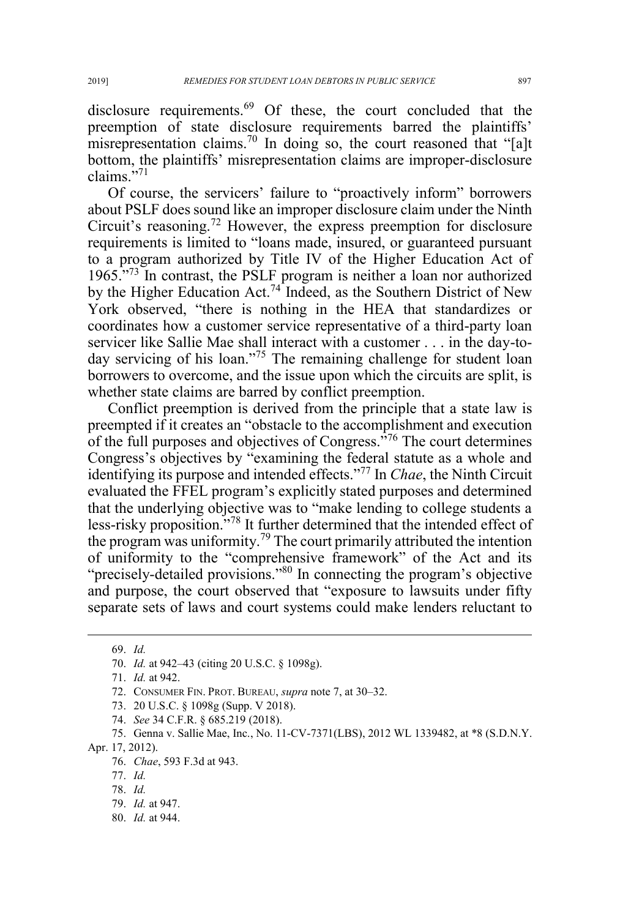disclosure requirements.<sup>69</sup> Of these, the court concluded that the preemption of state disclosure requirements barred the plaintiffs' misrepresentation claims.<sup>70</sup> In doing so, the court reasoned that "[a]t

bottom, the plaintiffs' misrepresentation claims are improper-disclosure

claims."<sup>71</sup> Of course, the servicers' failure to "proactively inform" borrowers about PSLF does sound like an improper disclosure claim under the Ninth Circuit's reasoning.<sup>72</sup> However, the express preemption for disclosure requirements is limited to "loans made, insured, or guaranteed pursuant to a program authorized by Title IV of the Higher Education Act of 1965."<sup>73</sup> In contrast, the PSLF program is neither a loan nor authorized by the Higher Education Act.<sup>74</sup> Indeed, as the Southern District of New York observed, "there is nothing in the HEA that standardizes or coordinates how a customer service representative of a third-party loan servicer like Sallie Mae shall interact with a customer . . . in the day-today servicing of his loan."<sup>75</sup> The remaining challenge for student loan borrowers to overcome, and the issue upon which the circuits are split, is whether state claims are barred by conflict preemption.

Conflict preemption is derived from the principle that a state law is preempted if it creates an "obstacle to the accomplishment and execution of the full purposes and objectives of Congress.<sup>576</sup> The court determines Congress's objectives by "examining the federal statute as a whole and identifying its purpose and intended effects."<sup>77</sup> In *Chae*, the Ninth Circuit evaluated the FFEL program's explicitly stated purposes and determined that the underlying objective was to "make lending to college students a less-risky proposition."<sup>78</sup> It further determined that the intended effect of the program was uniformity.<sup>79</sup> The court primarily attributed the intention of uniformity to the "comprehensive framework" of the Act and its "precisely-detailed provisions."80 In connecting the program's objective and purpose, the court observed that "exposure to lawsuits under fifty separate sets of laws and court systems could make lenders reluctant to

74. *See* 34 C.F.R. § 685.219 (2018).

Apr. 17, 2012).

80. *Id.* at 944.

 <sup>69.</sup> *Id.*

<sup>70.</sup> *Id.* at 942–43 (citing 20 U.S.C. § 1098g).

<sup>71.</sup> *Id.* at 942.

<sup>72.</sup> CONSUMER FIN. PROT. BUREAU, *supra* note 7, at 30–32.

<sup>73. 20</sup> U.S.C. § 1098g (Supp. V 2018).

<sup>75.</sup> Genna v. Sallie Mae, Inc., No. 11-CV-7371(LBS), 2012 WL 1339482, at \*8 (S.D.N.Y.

<sup>76.</sup> *Chae*, 593 F.3d at 943.

<sup>77.</sup> *Id.*

<sup>78.</sup> *Id.*

<sup>79.</sup> *Id.* at 947.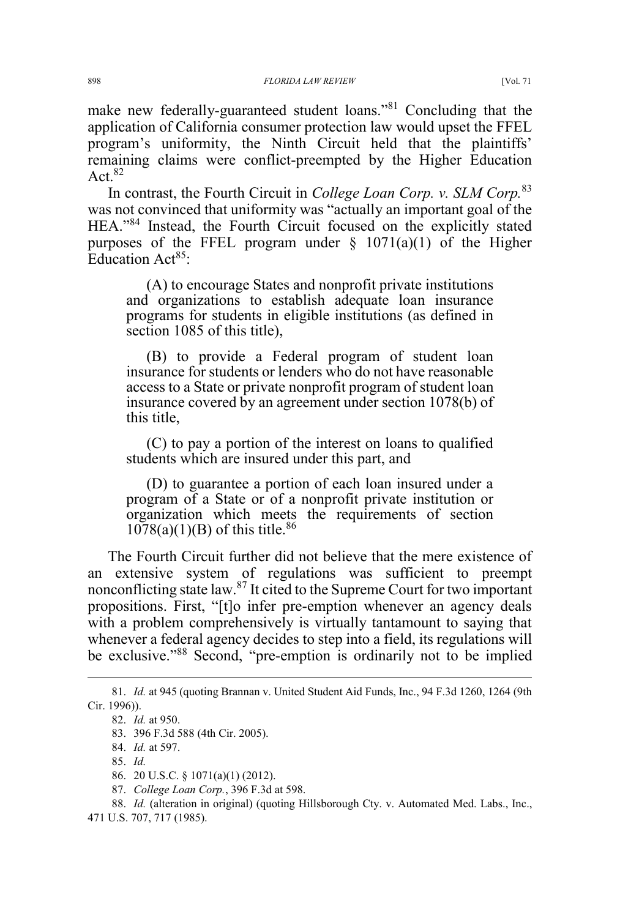make new federally-guaranteed student loans."<sup>81</sup> Concluding that the application of California consumer protection law would upset the FFEL program's uniformity, the Ninth Circuit held that the plaintiffs' remaining claims were conflict-preempted by the Higher Education Act  $82$ 

In contrast, the Fourth Circuit in *College Loan Corp. v. SLM Corp.*<sup>83</sup> was not convinced that uniformity was "actually an important goal of the HEA."<sup>84</sup> Instead, the Fourth Circuit focused on the explicitly stated purposes of the FFEL program under  $\S$  1071(a)(1) of the Higher Education Act<sup>85</sup>:

(A) to encourage States and nonprofit private institutions and organizations to establish adequate loan insurance programs for students in eligible institutions (as defined in section 1085 of this title),

(B) to provide a Federal program of student loan insurance for students or lenders who do not have reasonable access to a State or private nonprofit program of student loan insurance covered by an agreement under section 1078(b) of this title,

(C) to pay a portion of the interest on loans to qualified students which are insured under this part, and

(D) to guarantee a portion of each loan insured under a program of a State or of a nonprofit private institution or organization which meets the requirements of section  $1078(a)(1)(B)$  of this title.<sup>86</sup>

The Fourth Circuit further did not believe that the mere existence of an extensive system of regulations was sufficient to preempt nonconflicting state law.<sup>87</sup> It cited to the Supreme Court for two important propositions. First, "[t]o infer pre-emption whenever an agency deals with a problem comprehensively is virtually tantamount to saying that whenever a federal agency decides to step into a field, its regulations will be exclusive."<sup>88</sup> Second, "pre-emption is ordinarily not to be implied

 <sup>81.</sup> *Id.* at 945 (quoting Brannan v. United Student Aid Funds, Inc., 94 F.3d 1260, 1264 (9th Cir. 1996)).

<sup>82.</sup> *Id.* at 950.

<sup>83. 396</sup> F.3d 588 (4th Cir. 2005).

<sup>84.</sup> *Id.* at 597.

<sup>85.</sup> *Id.*

<sup>86. 20</sup> U.S.C. § 1071(a)(1) (2012).

<sup>87.</sup> *College Loan Corp.*, 396 F.3d at 598.

<sup>88.</sup> *Id.* (alteration in original) (quoting Hillsborough Cty. v. Automated Med. Labs., Inc., 471 U.S. 707, 717 (1985).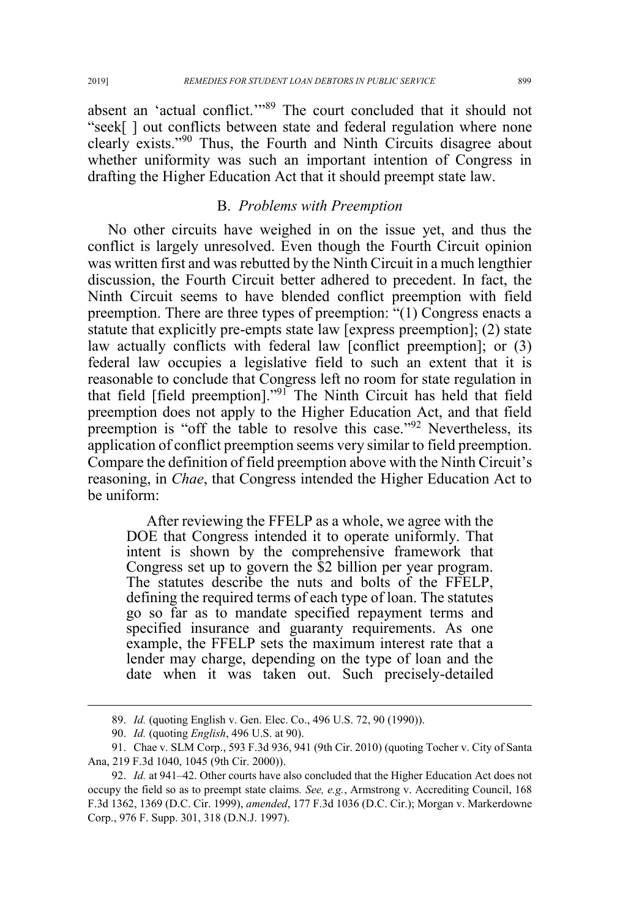absent an 'actual conflict.'"<sup>89</sup> The court concluded that it should not "seek[ ] out conflicts between state and federal regulation where none clearly exists."<sup>90</sup> Thus, the Fourth and Ninth Circuits disagree about whether uniformity was such an important intention of Congress in drafting the Higher Education Act that it should preempt state law.

# B. *Problems with Preemption*

No other circuits have weighed in on the issue yet, and thus the conflict is largely unresolved. Even though the Fourth Circuit opinion was written first and was rebutted by the Ninth Circuit in a much lengthier discussion, the Fourth Circuit better adhered to precedent. In fact, the Ninth Circuit seems to have blended conflict preemption with field preemption. There are three types of preemption: "(1) Congress enacts a statute that explicitly pre-empts state law [express preemption]; (2) state law actually conflicts with federal law [conflict preemption]; or (3) federal law occupies a legislative field to such an extent that it is reasonable to conclude that Congress left no room for state regulation in that field [field preemption]."<sup>91</sup> The Ninth Circuit has held that field preemption does not apply to the Higher Education Act, and that field preemption is "off the table to resolve this case."<sup>92</sup> Nevertheless, its application of conflict preemption seems very similar to field preemption. Compare the definition of field preemption above with the Ninth Circuit's reasoning, in *Chae*, that Congress intended the Higher Education Act to be uniform:

After reviewing the FFELP as a whole, we agree with the DOE that Congress intended it to operate uniformly. That intent is shown by the comprehensive framework that Congress set up to govern the \$2 billion per year program. The statutes describe the nuts and bolts of the FFELP, defining the required terms of each type of loan. The statutes go so far as to mandate specified repayment terms and specified insurance and guaranty requirements. As one example, the FFELP sets the maximum interest rate that a lender may charge, depending on the type of loan and the date when it was taken out. Such precisely-detailed

 <sup>89.</sup> *Id.* (quoting English v. Gen. Elec. Co., 496 U.S. 72, 90 (1990)).

<sup>90.</sup> *Id.* (quoting *English*, 496 U.S. at 90).

<sup>91.</sup> Chae v. SLM Corp., 593 F.3d 936, 941 (9th Cir. 2010) (quoting Tocher v. City of Santa Ana, 219 F.3d 1040, 1045 (9th Cir. 2000)).

<sup>92.</sup> *Id.* at 941–42. Other courts have also concluded that the Higher Education Act does not occupy the field so as to preempt state claims*. See, e.g.*, Armstrong v. Accrediting Council, 168 F.3d 1362, 1369 (D.C. Cir. 1999), *amended*, 177 F.3d 1036 (D.C. Cir.); Morgan v. Markerdowne Corp., 976 F. Supp. 301, 318 (D.N.J. 1997).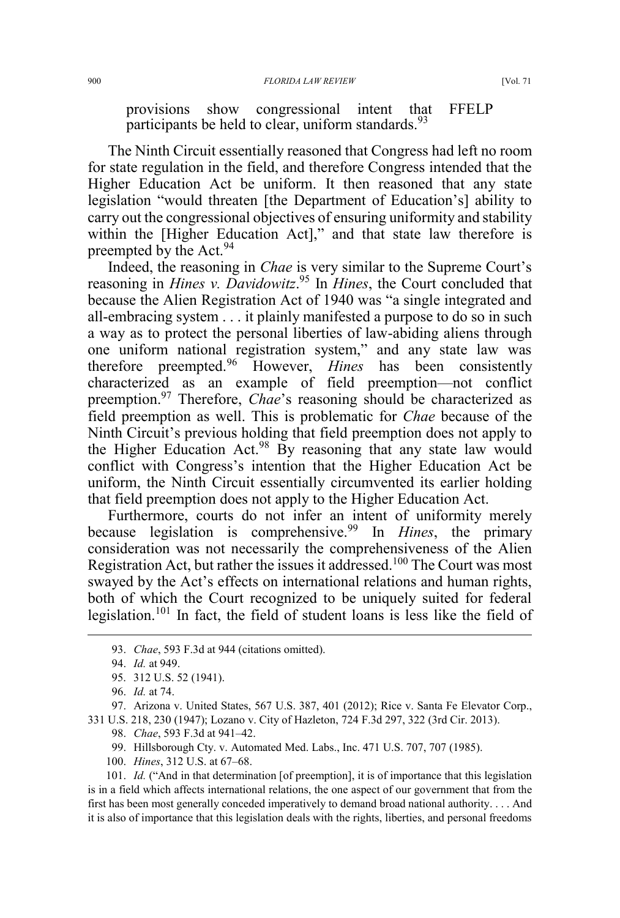provisions show congressional intent that FFELP participants be held to clear, uniform standards.  $93$ 

The Ninth Circuit essentially reasoned that Congress had left no room for state regulation in the field, and therefore Congress intended that the Higher Education Act be uniform. It then reasoned that any state legislation "would threaten [the Department of Education's] ability to carry out the congressional objectives of ensuring uniformity and stability within the [Higher Education Act]," and that state law therefore is preempted by the Act.<sup>94</sup>

Indeed, the reasoning in *Chae* is very similar to the Supreme Court's reasoning in *Hines v. Davidowitz*. <sup>95</sup> In *Hines*, the Court concluded that because the Alien Registration Act of 1940 was "a single integrated and all-embracing system . . . it plainly manifested a purpose to do so in such a way as to protect the personal liberties of law-abiding aliens through one uniform national registration system," and any state law was therefore preempted.<sup>96</sup> However, *Hines* has been consistently characterized as an example of field preemption—not conflict preemption.<sup>97</sup> Therefore, *Chae*'s reasoning should be characterized as field preemption as well. This is problematic for *Chae* because of the Ninth Circuit's previous holding that field preemption does not apply to the Higher Education Act.<sup>98</sup> By reasoning that any state law would conflict with Congress's intention that the Higher Education Act be uniform, the Ninth Circuit essentially circumvented its earlier holding that field preemption does not apply to the Higher Education Act.

Furthermore, courts do not infer an intent of uniformity merely because legislation is comprehensive.<sup>99</sup> In *Hines*, the primary consideration was not necessarily the comprehensiveness of the Alien Registration Act, but rather the issues it addressed.<sup>100</sup> The Court was most swayed by the Act's effects on international relations and human rights, both of which the Court recognized to be uniquely suited for federal legislation.<sup>101</sup> In fact, the field of student loans is less like the field of

97. Arizona v. United States, 567 U.S. 387, 401 (2012); Rice v. Santa Fe Elevator Corp., 331 U.S. 218, 230 (1947); Lozano v. City of Hazleton, 724 F.3d 297, 322 (3rd Cir. 2013).

98. *Chae*, 593 F.3d at 941–42.

99. Hillsborough Cty. v. Automated Med. Labs., Inc. 471 U.S. 707, 707 (1985).

100. *Hines*, 312 U.S. at 67–68.

101. *Id.* ("And in that determination [of preemption], it is of importance that this legislation is in a field which affects international relations, the one aspect of our government that from the first has been most generally conceded imperatively to demand broad national authority. . . . And it is also of importance that this legislation deals with the rights, liberties, and personal freedoms

 <sup>93.</sup> *Chae*, 593 F.3d at 944 (citations omitted).

<sup>94.</sup> *Id.* at 949.

<sup>95. 312</sup> U.S. 52 (1941).

<sup>96.</sup> *Id.* at 74.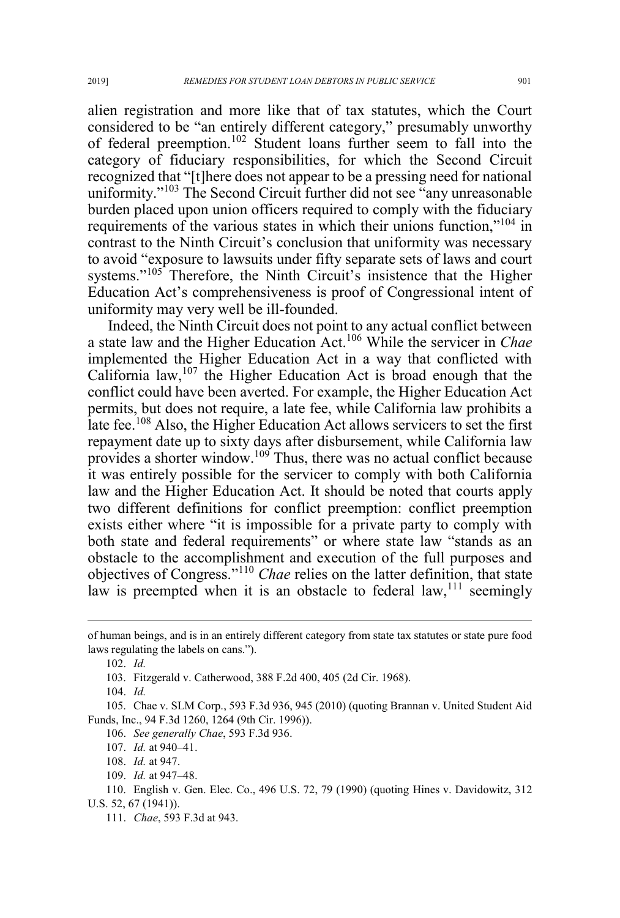alien registration and more like that of tax statutes, which the Court considered to be "an entirely different category," presumably unworthy of federal preemption.<sup>102</sup> Student loans further seem to fall into the category of fiduciary responsibilities, for which the Second Circuit recognized that "[t]here does not appear to be a pressing need for national uniformity."<sup>103</sup> The Second Circuit further did not see "any unreasonable" burden placed upon union officers required to comply with the fiduciary requirements of the various states in which their unions function,"<sup>104</sup> in contrast to the Ninth Circuit's conclusion that uniformity was necessary to avoid "exposure to lawsuits under fifty separate sets of laws and court systems."<sup>105</sup> Therefore, the Ninth Circuit's insistence that the Higher Education Act's comprehensiveness is proof of Congressional intent of uniformity may very well be ill-founded.

Indeed, the Ninth Circuit does not point to any actual conflict between a state law and the Higher Education Act.<sup>106</sup> While the servicer in *Chae* implemented the Higher Education Act in a way that conflicted with California law, $107$  the Higher Education Act is broad enough that the conflict could have been averted. For example, the Higher Education Act permits, but does not require, a late fee, while California law prohibits a late fee.<sup>108</sup> Also, the Higher Education Act allows servicers to set the first repayment date up to sixty days after disbursement, while California law provides a shorter window.<sup>109</sup> Thus, there was no actual conflict because it was entirely possible for the servicer to comply with both California law and the Higher Education Act. It should be noted that courts apply two different definitions for conflict preemption: conflict preemption exists either where "it is impossible for a private party to comply with both state and federal requirements" or where state law "stands as an obstacle to the accomplishment and execution of the full purposes and objectives of Congress."<sup>110</sup> *Chae* relies on the latter definition, that state law is preempted when it is an obstacle to federal  $law$ ,<sup>111</sup> seemingly

 $\overline{a}$ 

109. *Id.* at 947–48.

of human beings, and is in an entirely different category from state tax statutes or state pure food laws regulating the labels on cans.").

<sup>102.</sup> *Id.*

<sup>103.</sup> Fitzgerald v. Catherwood, 388 F.2d 400, 405 (2d Cir. 1968).

<sup>104.</sup> *Id.*

<sup>105.</sup> Chae v. SLM Corp., 593 F.3d 936, 945 (2010) (quoting Brannan v. United Student Aid Funds, Inc., 94 F.3d 1260, 1264 (9th Cir. 1996)).

<sup>106.</sup> *See generally Chae*, 593 F.3d 936.

<sup>107.</sup> *Id.* at 940–41.

<sup>108.</sup> *Id.* at 947.

<sup>110.</sup> English v. Gen. Elec. Co., 496 U.S. 72, 79 (1990) (quoting Hines v. Davidowitz, 312 U.S. 52, 67 (1941)).

<sup>111.</sup> *Chae*, 593 F.3d at 943.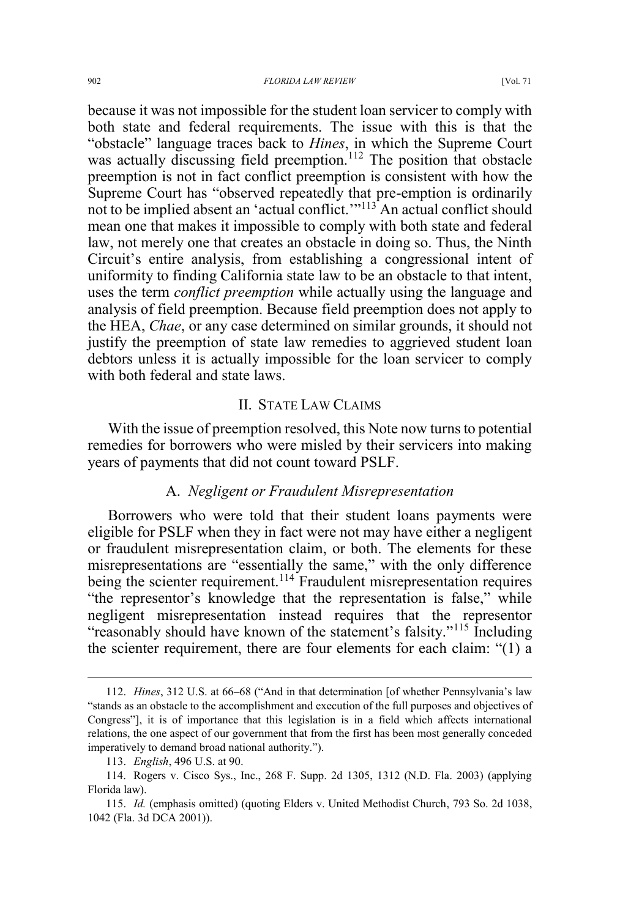because it was not impossible for the student loan servicer to comply with both state and federal requirements. The issue with this is that the "obstacle" language traces back to *Hines*, in which the Supreme Court was actually discussing field preemption.<sup>112</sup> The position that obstacle preemption is not in fact conflict preemption is consistent with how the Supreme Court has "observed repeatedly that pre-emption is ordinarily not to be implied absent an 'actual conflict.'"<sup>113</sup> An actual conflict should mean one that makes it impossible to comply with both state and federal law, not merely one that creates an obstacle in doing so. Thus, the Ninth Circuit's entire analysis, from establishing a congressional intent of uniformity to finding California state law to be an obstacle to that intent, uses the term *conflict preemption* while actually using the language and analysis of field preemption. Because field preemption does not apply to the HEA, *Chae*, or any case determined on similar grounds, it should not justify the preemption of state law remedies to aggrieved student loan debtors unless it is actually impossible for the loan servicer to comply with both federal and state laws.

# II. STATE LAW CLAIMS

With the issue of preemption resolved, this Note now turns to potential remedies for borrowers who were misled by their servicers into making years of payments that did not count toward PSLF.

#### A. *Negligent or Fraudulent Misrepresentation*

Borrowers who were told that their student loans payments were eligible for PSLF when they in fact were not may have either a negligent or fraudulent misrepresentation claim, or both. The elements for these misrepresentations are "essentially the same," with the only difference being the scienter requirement.<sup>114</sup> Fraudulent misrepresentation requires "the representor's knowledge that the representation is false," while negligent misrepresentation instead requires that the representor "reasonably should have known of the statement's falsity."<sup>115</sup> Including the scienter requirement, there are four elements for each claim: "(1) a

 <sup>112.</sup> *Hines*, 312 U.S. at 66–68 ("And in that determination [of whether Pennsylvania's law "stands as an obstacle to the accomplishment and execution of the full purposes and objectives of Congress"], it is of importance that this legislation is in a field which affects international relations, the one aspect of our government that from the first has been most generally conceded imperatively to demand broad national authority.").

<sup>113.</sup> *English*, 496 U.S. at 90.

<sup>114.</sup> Rogers v. Cisco Sys., Inc., 268 F. Supp. 2d 1305, 1312 (N.D. Fla. 2003) (applying Florida law).

<sup>115.</sup> *Id.* (emphasis omitted) (quoting Elders v. United Methodist Church, 793 So. 2d 1038, 1042 (Fla. 3d DCA 2001)).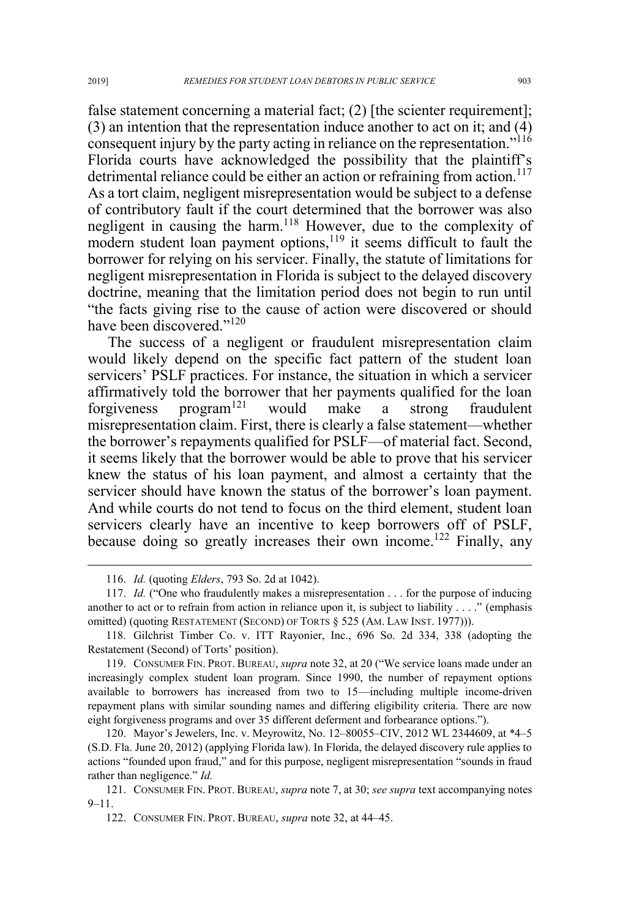false statement concerning a material fact; (2) [the scienter requirement]; (3) an intention that the representation induce another to act on it; and (4) consequent injury by the party acting in reliance on the representation."<sup>116</sup> Florida courts have acknowledged the possibility that the plaintiff's detrimental reliance could be either an action or refraining from action.<sup>117</sup> As a tort claim, negligent misrepresentation would be subject to a defense of contributory fault if the court determined that the borrower was also negligent in causing the harm.<sup>118</sup> However, due to the complexity of modern student loan payment options,<sup>119</sup> it seems difficult to fault the borrower for relying on his servicer. Finally, the statute of limitations for negligent misrepresentation in Florida is subject to the delayed discovery doctrine, meaning that the limitation period does not begin to run until "the facts giving rise to the cause of action were discovered or should have been discovered."<sup>120</sup>

The success of a negligent or fraudulent misrepresentation claim would likely depend on the specific fact pattern of the student loan servicers' PSLF practices. For instance, the situation in which a servicer affirmatively told the borrower that her payments qualified for the loan forgiveness program<sup>121</sup> would make a strong fraudulent misrepresentation claim. First, there is clearly a false statement—whether the borrower's repayments qualified for PSLF—of material fact. Second, it seems likely that the borrower would be able to prove that his servicer knew the status of his loan payment, and almost a certainty that the servicer should have known the status of the borrower's loan payment. And while courts do not tend to focus on the third element, student loan servicers clearly have an incentive to keep borrowers off of PSLF, because doing so greatly increases their own income.<sup>122</sup> Finally, any

 <sup>116.</sup> *Id.* (quoting *Elders*, 793 So. 2d at 1042).

<sup>117.</sup> *Id.* ("One who fraudulently makes a misrepresentation . . . for the purpose of inducing another to act or to refrain from action in reliance upon it, is subject to liability . . . ." (emphasis omitted) (quoting RESTATEMENT (SECOND) OF TORTS § 525 (AM. LAW INST. 1977))).

<sup>118.</sup> Gilchrist Timber Co. v. ITT Rayonier, Inc., 696 So. 2d 334, 338 (adopting the Restatement (Second) of Torts' position).

<sup>119.</sup> CONSUMER FIN. PROT. BUREAU, *supra* note 32, at 20 ("We service loans made under an increasingly complex student loan program. Since 1990, the number of repayment options available to borrowers has increased from two to 15—including multiple income-driven repayment plans with similar sounding names and differing eligibility criteria. There are now eight forgiveness programs and over 35 different deferment and forbearance options.").

<sup>120.</sup> Mayor's Jewelers, Inc. v. Meyrowitz, No. 12–80055–CIV, 2012 WL 2344609, at \*4–5 (S.D. Fla. June 20, 2012) (applying Florida law). In Florida, the delayed discovery rule applies to actions "founded upon fraud," and for this purpose, negligent misrepresentation "sounds in fraud rather than negligence." *Id.*

<sup>121.</sup> CONSUMER FIN. PROT. BUREAU, *supra* note 7, at 30; *see supra* text accompanying notes 9–11.

<sup>122.</sup> CONSUMER FIN. PROT. BUREAU, *supra* note 32, at 44–45.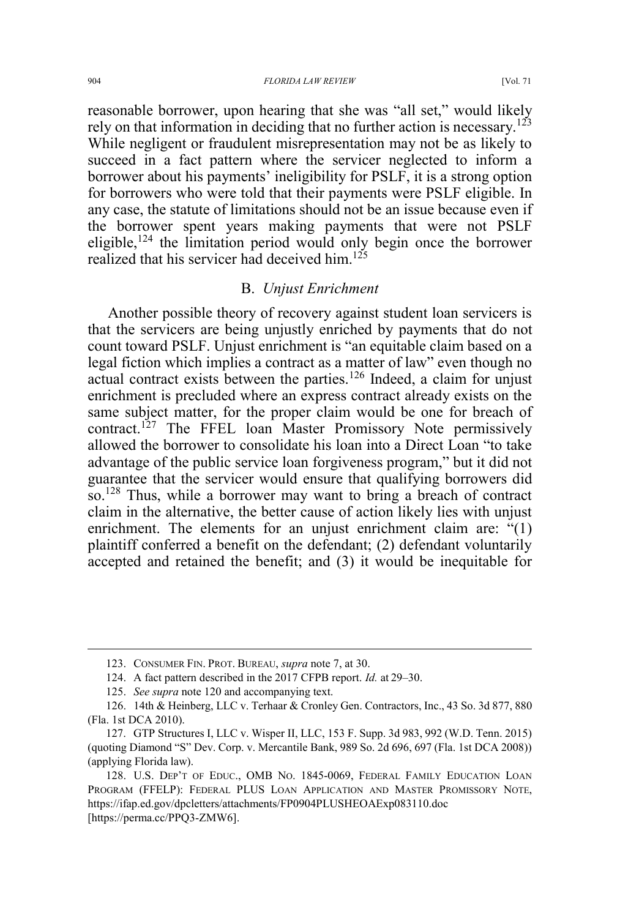#### 904 *FLORIDA LAW REVIEW* [Vol. 71

reasonable borrower, upon hearing that she was "all set," would likely rely on that information in deciding that no further action is necessary.<sup>123</sup> While negligent or fraudulent misrepresentation may not be as likely to succeed in a fact pattern where the servicer neglected to inform a borrower about his payments' ineligibility for PSLF, it is a strong option for borrowers who were told that their payments were PSLF eligible. In any case, the statute of limitations should not be an issue because even if the borrower spent years making payments that were not PSLF eligible,  $124$  the limitation period would only begin once the borrower realized that his servicer had deceived him.<sup>125</sup>

# B. *Unjust Enrichment*

Another possible theory of recovery against student loan servicers is that the servicers are being unjustly enriched by payments that do not count toward PSLF. Unjust enrichment is "an equitable claim based on a legal fiction which implies a contract as a matter of law" even though no actual contract exists between the parties.<sup>126</sup> Indeed, a claim for unjust enrichment is precluded where an express contract already exists on the same subject matter, for the proper claim would be one for breach of contract.<sup>127</sup> The FFEL loan Master Promissory Note permissively allowed the borrower to consolidate his loan into a Direct Loan "to take advantage of the public service loan forgiveness program," but it did not guarantee that the servicer would ensure that qualifying borrowers did so.<sup>128</sup> Thus, while a borrower may want to bring a breach of contract claim in the alternative, the better cause of action likely lies with unjust enrichment. The elements for an unjust enrichment claim are: "(1) plaintiff conferred a benefit on the defendant; (2) defendant voluntarily accepted and retained the benefit; and (3) it would be inequitable for

 <sup>123.</sup> CONSUMER FIN. PROT. BUREAU, *supra* note 7, at 30.

<sup>124.</sup> A fact pattern described in the 2017 CFPB report. *Id.* at 29–30.

<sup>125.</sup> *See supra* note 120 and accompanying text.

<sup>126. 14</sup>th & Heinberg, LLC v. Terhaar & Cronley Gen. Contractors, Inc., 43 So. 3d 877, 880 (Fla. 1st DCA 2010).

<sup>127.</sup> GTP Structures I, LLC v. Wisper II, LLC, 153 F. Supp. 3d 983, 992 (W.D. Tenn. 2015) (quoting Diamond "S" Dev. Corp. v. Mercantile Bank, 989 So. 2d 696, 697 (Fla. 1st DCA 2008)) (applying Florida law).

<sup>128.</sup> U.S. DEP'T OF EDUC., OMB NO. 1845-0069, FEDERAL FAMILY EDUCATION LOAN PROGRAM (FFELP): FEDERAL PLUS LOAN APPLICATION AND MASTER PROMISSORY NOTE, https://ifap.ed.gov/dpcletters/attachments/FP0904PLUSHEOAExp083110.doc [https://perma.cc/PPQ3-ZMW6].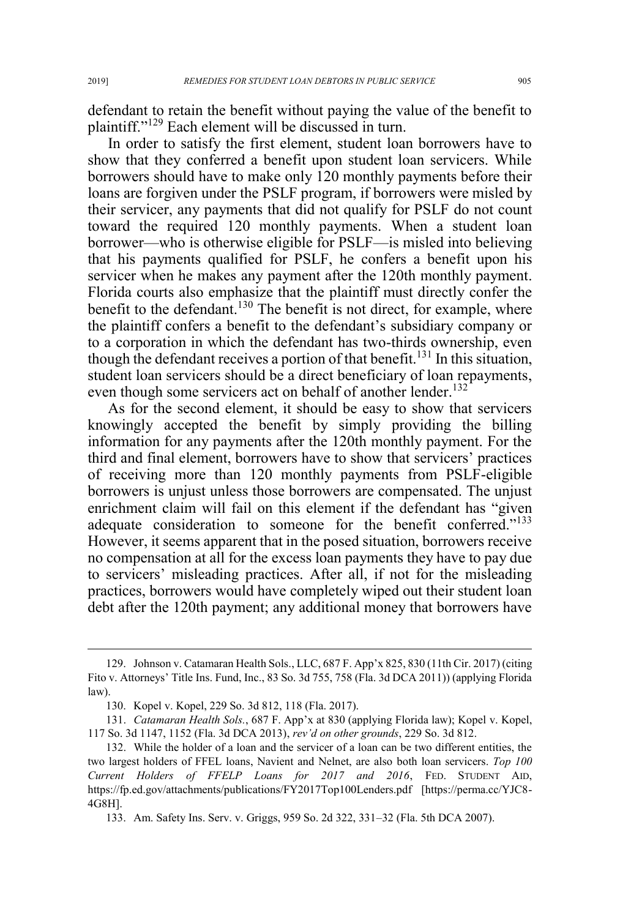defendant to retain the benefit without paying the value of the benefit to plaintiff."<sup>129</sup> Each element will be discussed in turn.

In order to satisfy the first element, student loan borrowers have to show that they conferred a benefit upon student loan servicers. While borrowers should have to make only 120 monthly payments before their loans are forgiven under the PSLF program, if borrowers were misled by their servicer, any payments that did not qualify for PSLF do not count toward the required 120 monthly payments. When a student loan borrower—who is otherwise eligible for PSLF—is misled into believing that his payments qualified for PSLF, he confers a benefit upon his servicer when he makes any payment after the 120th monthly payment. Florida courts also emphasize that the plaintiff must directly confer the benefit to the defendant.<sup>130</sup> The benefit is not direct, for example, where the plaintiff confers a benefit to the defendant's subsidiary company or to a corporation in which the defendant has two-thirds ownership, even though the defendant receives a portion of that benefit.<sup>131</sup> In this situation. student loan servicers should be a direct beneficiary of loan repayments, even though some servicers act on behalf of another lender.<sup>132</sup>

As for the second element, it should be easy to show that servicers knowingly accepted the benefit by simply providing the billing information for any payments after the 120th monthly payment. For the third and final element, borrowers have to show that servicers' practices of receiving more than 120 monthly payments from PSLF-eligible borrowers is unjust unless those borrowers are compensated. The unjust enrichment claim will fail on this element if the defendant has "given adequate consideration to someone for the benefit conferred."<sup>133</sup> However, it seems apparent that in the posed situation, borrowers receive no compensation at all for the excess loan payments they have to pay due to servicers' misleading practices. After all, if not for the misleading practices, borrowers would have completely wiped out their student loan debt after the 120th payment; any additional money that borrowers have

 <sup>129.</sup> Johnson v. Catamaran Health Sols., LLC, 687 F. App'x 825, 830 (11th Cir. 2017) (citing Fito v. Attorneys' Title Ins. Fund, Inc., 83 So. 3d 755, 758 (Fla. 3d DCA 2011)) (applying Florida law).

<sup>130.</sup> Kopel v. Kopel, 229 So. 3d 812, 118 (Fla. 2017).

<sup>131.</sup> *Catamaran Health Sols.*, 687 F. App'x at 830 (applying Florida law); Kopel v. Kopel, 117 So. 3d 1147, 1152 (Fla. 3d DCA 2013), *rev'd on other grounds*, 229 So. 3d 812.

<sup>132.</sup> While the holder of a loan and the servicer of a loan can be two different entities, the two largest holders of FFEL loans, Navient and Nelnet, are also both loan servicers. *Top 100 Current Holders of FFELP Loans for 2017 and 2016*, FED. STUDENT AID, https://fp.ed.gov/attachments/publications/FY2017Top100Lenders.pdf [https://perma.cc/YJC8- 4G8H].

<sup>133.</sup> Am. Safety Ins. Serv. v. Griggs, 959 So. 2d 322, 331–32 (Fla. 5th DCA 2007).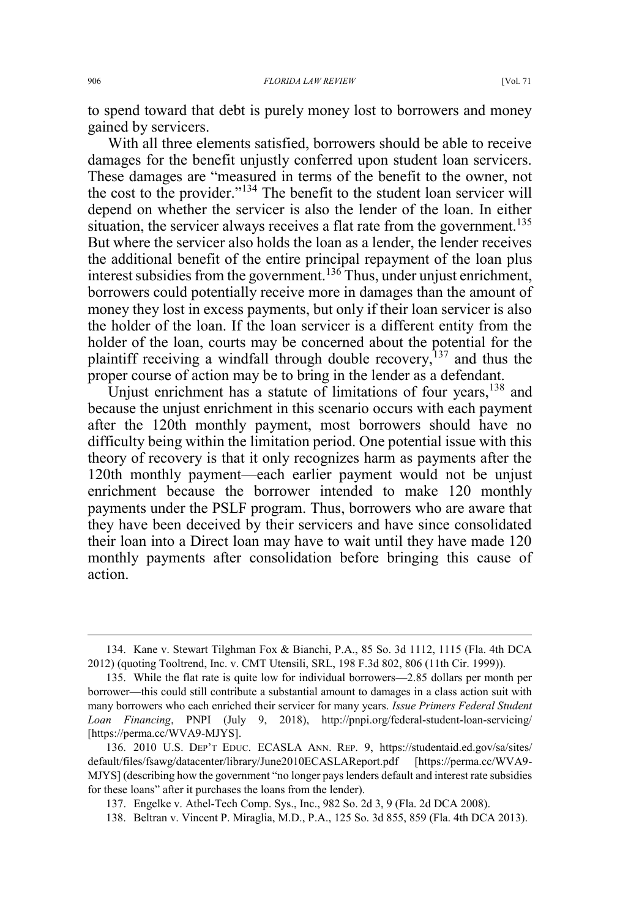to spend toward that debt is purely money lost to borrowers and money gained by servicers.

With all three elements satisfied, borrowers should be able to receive damages for the benefit unjustly conferred upon student loan servicers. These damages are "measured in terms of the benefit to the owner, not the cost to the provider."<sup>134</sup> The benefit to the student loan servicer will depend on whether the servicer is also the lender of the loan. In either situation, the servicer always receives a flat rate from the government.<sup>135</sup> But where the servicer also holds the loan as a lender, the lender receives the additional benefit of the entire principal repayment of the loan plus interest subsidies from the government.<sup>136</sup> Thus, under unjust enrichment, borrowers could potentially receive more in damages than the amount of money they lost in excess payments, but only if their loan servicer is also the holder of the loan. If the loan servicer is a different entity from the holder of the loan, courts may be concerned about the potential for the plaintiff receiving a windfall through double recovery,  $137$  and thus the proper course of action may be to bring in the lender as a defendant.

Unjust enrichment has a statute of limitations of four years, <sup>138</sup> and because the unjust enrichment in this scenario occurs with each payment after the 120th monthly payment, most borrowers should have no difficulty being within the limitation period. One potential issue with this theory of recovery is that it only recognizes harm as payments after the 120th monthly payment—each earlier payment would not be unjust enrichment because the borrower intended to make 120 monthly payments under the PSLF program. Thus, borrowers who are aware that they have been deceived by their servicers and have since consolidated their loan into a Direct loan may have to wait until they have made 120 monthly payments after consolidation before bringing this cause of action.

138. Beltran v. Vincent P. Miraglia, M.D., P.A., 125 So. 3d 855, 859 (Fla. 4th DCA 2013).

 <sup>134.</sup> Kane v. Stewart Tilghman Fox & Bianchi, P.A., 85 So. 3d 1112, 1115 (Fla. 4th DCA 2012) (quoting Tooltrend, Inc. v. CMT Utensili, SRL, 198 F.3d 802, 806 (11th Cir. 1999)).

<sup>135.</sup> While the flat rate is quite low for individual borrowers—2.85 dollars per month per borrower—this could still contribute a substantial amount to damages in a class action suit with many borrowers who each enriched their servicer for many years. *Issue Primers Federal Student Loan Financing*, PNPI (July 9, 2018), http://pnpi.org/federal-student-loan-servicing/ [https://perma.cc/WVA9-MJYS].

<sup>136. 2010</sup> U.S. DEP'T EDUC. ECASLA ANN. REP. 9, https://studentaid.ed.gov/sa/sites/ default/files/fsawg/datacenter/library/June2010ECASLAReport.pdf [https://perma.cc/WVA9- MJYS] (describing how the government "no longer pays lenders default and interest rate subsidies for these loans" after it purchases the loans from the lender).

<sup>137.</sup> Engelke v. Athel-Tech Comp. Sys., Inc., 982 So. 2d 3, 9 (Fla. 2d DCA 2008).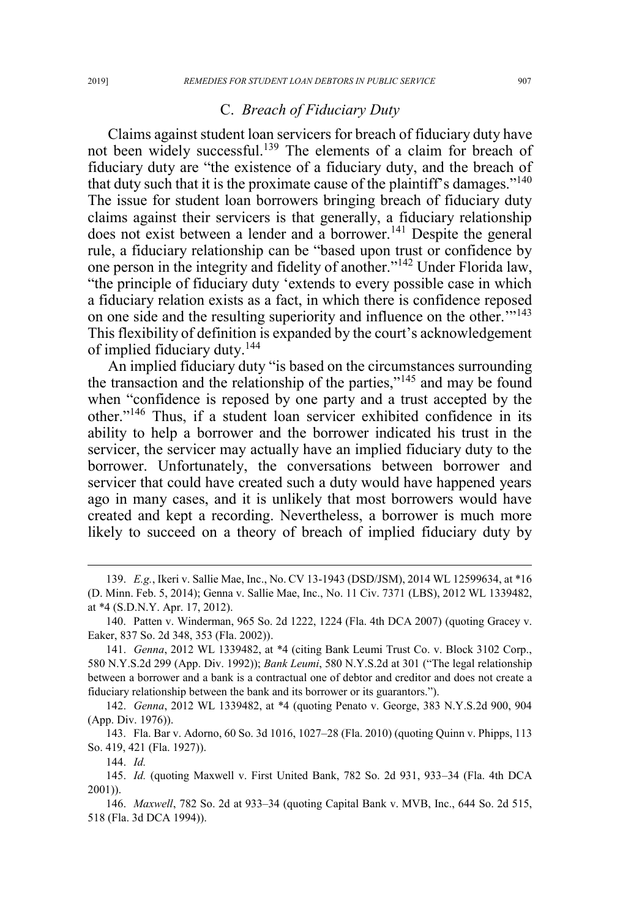## C. *Breach of Fiduciary Duty*

Claims against student loan servicers for breach of fiduciary duty have not been widely successful.139 The elements of a claim for breach of fiduciary duty are "the existence of a fiduciary duty, and the breach of that duty such that it is the proximate cause of the plaintiff's damages."<sup>140</sup> The issue for student loan borrowers bringing breach of fiduciary duty claims against their servicers is that generally, a fiduciary relationship does not exist between a lender and a borrower.<sup>141</sup> Despite the general rule, a fiduciary relationship can be "based upon trust or confidence by one person in the integrity and fidelity of another."<sup>142</sup> Under Florida law, "the principle of fiduciary duty 'extends to every possible case in which a fiduciary relation exists as a fact, in which there is confidence reposed on one side and the resulting superiority and influence on the other.'"<sup>143</sup> This flexibility of definition is expanded by the court's acknowledgement of implied fiduciary duty.<sup>144</sup>

An implied fiduciary duty "is based on the circumstances surrounding the transaction and the relationship of the parties,"<sup>145</sup> and may be found when "confidence is reposed by one party and a trust accepted by the other."<sup>146</sup> Thus, if a student loan servicer exhibited confidence in its ability to help a borrower and the borrower indicated his trust in the servicer, the servicer may actually have an implied fiduciary duty to the borrower. Unfortunately, the conversations between borrower and servicer that could have created such a duty would have happened years ago in many cases, and it is unlikely that most borrowers would have created and kept a recording. Nevertheless, a borrower is much more likely to succeed on a theory of breach of implied fiduciary duty by

142. *Genna*, 2012 WL 1339482, at \*4 (quoting Penato v. George, 383 N.Y.S.2d 900, 904 (App. Div. 1976)).

143. Fla. Bar v. Adorno, 60 So. 3d 1016, 1027–28 (Fla. 2010) (quoting Quinn v. Phipps, 113 So. 419, 421 (Fla. 1927)).

144. *Id.*

 <sup>139.</sup> *E.g.*, Ikeri v. Sallie Mae, Inc., No. CV 13-1943 (DSD/JSM), 2014 WL 12599634, at \*16 (D. Minn. Feb. 5, 2014); Genna v. Sallie Mae, Inc., No. 11 Civ. 7371 (LBS), 2012 WL 1339482, at \*4 (S.D.N.Y. Apr. 17, 2012).

<sup>140.</sup> Patten v. Winderman, 965 So. 2d 1222, 1224 (Fla. 4th DCA 2007) (quoting Gracey v. Eaker, 837 So. 2d 348, 353 (Fla. 2002)).

<sup>141.</sup> *Genna*, 2012 WL 1339482, at \*4 (citing Bank Leumi Trust Co. v. Block 3102 Corp., 580 N.Y.S.2d 299 (App. Div. 1992)); *Bank Leumi*, 580 N.Y.S.2d at 301 ("The legal relationship between a borrower and a bank is a contractual one of debtor and creditor and does not create a fiduciary relationship between the bank and its borrower or its guarantors.").

<sup>145.</sup> *Id.* (quoting Maxwell v. First United Bank, 782 So. 2d 931, 933–34 (Fla. 4th DCA 2001)).

<sup>146.</sup> *Maxwell*, 782 So. 2d at 933–34 (quoting Capital Bank v. MVB, Inc., 644 So. 2d 515, 518 (Fla. 3d DCA 1994)).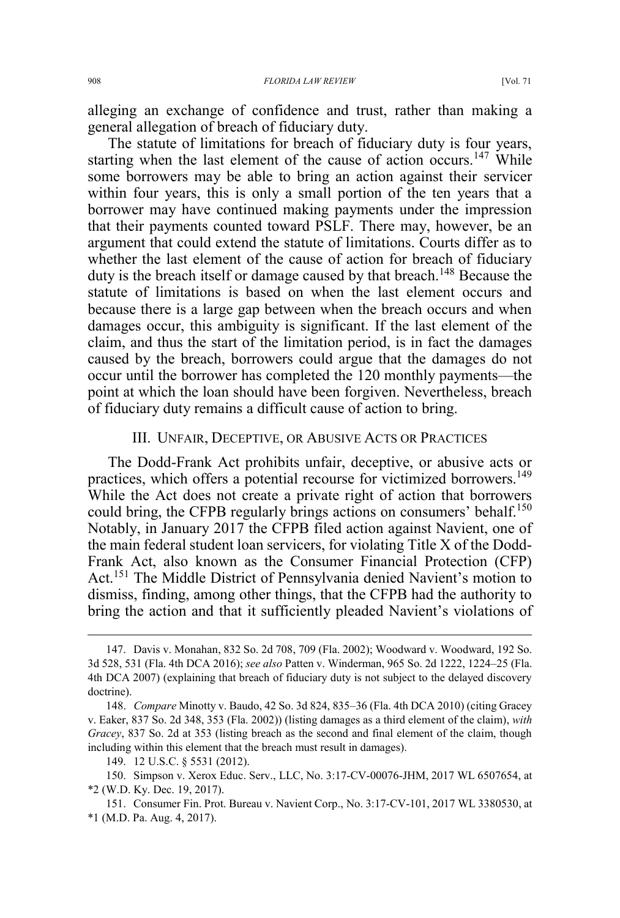alleging an exchange of confidence and trust, rather than making a general allegation of breach of fiduciary duty.

The statute of limitations for breach of fiduciary duty is four years, starting when the last element of the cause of action occurs.<sup>147</sup> While some borrowers may be able to bring an action against their servicer within four years, this is only a small portion of the ten years that a borrower may have continued making payments under the impression that their payments counted toward PSLF. There may, however, be an argument that could extend the statute of limitations. Courts differ as to whether the last element of the cause of action for breach of fiduciary duty is the breach itself or damage caused by that breach.<sup>148</sup> Because the statute of limitations is based on when the last element occurs and because there is a large gap between when the breach occurs and when damages occur, this ambiguity is significant. If the last element of the claim, and thus the start of the limitation period, is in fact the damages caused by the breach, borrowers could argue that the damages do not occur until the borrower has completed the 120 monthly payments—the point at which the loan should have been forgiven. Nevertheless, breach of fiduciary duty remains a difficult cause of action to bring.

#### III. UNFAIR, DECEPTIVE, OR ABUSIVE ACTS OR PRACTICES

The Dodd-Frank Act prohibits unfair, deceptive, or abusive acts or practices, which offers a potential recourse for victimized borrowers.<sup>149</sup> While the Act does not create a private right of action that borrowers could bring, the CFPB regularly brings actions on consumers' behalf.<sup>150</sup> Notably, in January 2017 the CFPB filed action against Navient, one of the main federal student loan servicers, for violating Title X of the Dodd-Frank Act, also known as the Consumer Financial Protection (CFP) Act.<sup>151</sup> The Middle District of Pennsylvania denied Navient's motion to dismiss, finding, among other things, that the CFPB had the authority to bring the action and that it sufficiently pleaded Navient's violations of

 <sup>147.</sup> Davis v. Monahan, 832 So. 2d 708, 709 (Fla. 2002); Woodward v. Woodward, 192 So. 3d 528, 531 (Fla. 4th DCA 2016); *see also* Patten v. Winderman, 965 So. 2d 1222, 1224–25 (Fla. 4th DCA 2007) (explaining that breach of fiduciary duty is not subject to the delayed discovery doctrine).

<sup>148.</sup> *Compare* Minotty v. Baudo, 42 So. 3d 824, 835–36 (Fla. 4th DCA 2010) (citing Gracey v. Eaker, 837 So. 2d 348, 353 (Fla. 2002)) (listing damages as a third element of the claim), *with Gracey*, 837 So. 2d at 353 (listing breach as the second and final element of the claim, though including within this element that the breach must result in damages).

<sup>149. 12</sup> U.S.C. § 5531 (2012).

<sup>150.</sup> Simpson v. Xerox Educ. Serv., LLC, No. 3:17-CV-00076-JHM, 2017 WL 6507654, at \*2 (W.D. Ky. Dec. 19, 2017).

<sup>151.</sup> Consumer Fin. Prot. Bureau v. Navient Corp., No. 3:17-CV-101, 2017 WL 3380530, at \*1 (M.D. Pa. Aug. 4, 2017).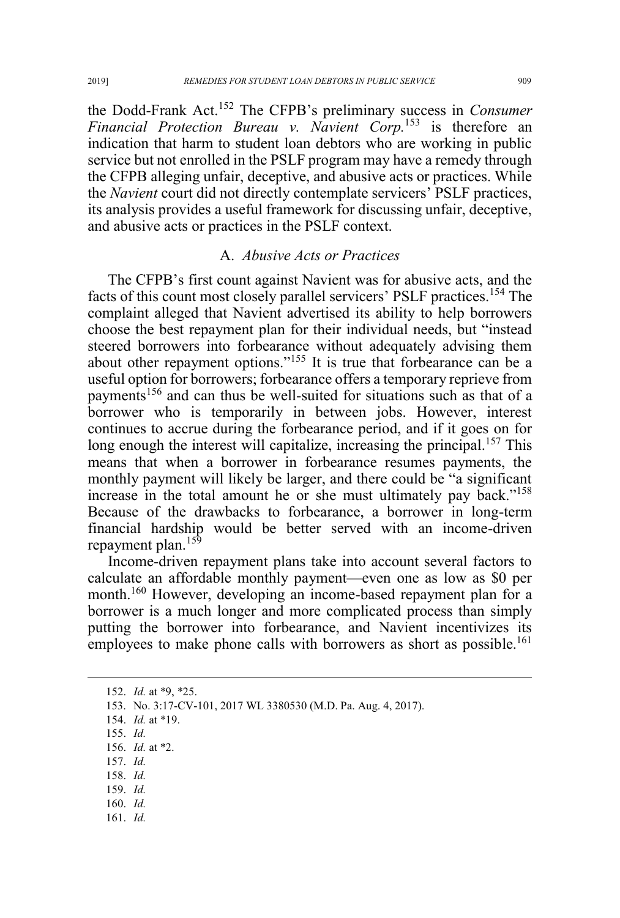the Dodd-Frank Act.<sup>152</sup> The CFPB's preliminary success in *Consumer Financial Protection Bureau v. Navient Corp.*<sup>153</sup> is therefore an indication that harm to student loan debtors who are working in public service but not enrolled in the PSLF program may have a remedy through the CFPB alleging unfair, deceptive, and abusive acts or practices. While the *Navient* court did not directly contemplate servicers' PSLF practices, its analysis provides a useful framework for discussing unfair, deceptive, and abusive acts or practices in the PSLF context.

# A. *Abusive Acts or Practices*

The CFPB's first count against Navient was for abusive acts, and the facts of this count most closely parallel servicers' PSLF practices.<sup>154</sup> The complaint alleged that Navient advertised its ability to help borrowers choose the best repayment plan for their individual needs, but "instead steered borrowers into forbearance without adequately advising them about other repayment options."<sup>155</sup> It is true that forbearance can be a useful option for borrowers; forbearance offers a temporary reprieve from payments<sup>156</sup> and can thus be well-suited for situations such as that of a borrower who is temporarily in between jobs. However, interest continues to accrue during the forbearance period, and if it goes on for long enough the interest will capitalize, increasing the principal.<sup>157</sup> This means that when a borrower in forbearance resumes payments, the monthly payment will likely be larger, and there could be "a significant increase in the total amount he or she must ultimately pay back."<sup>158</sup> Because of the drawbacks to forbearance, a borrower in long-term financial hardship would be better served with an income-driven repayment plan.<sup>159</sup>

Income-driven repayment plans take into account several factors to calculate an affordable monthly payment—even one as low as \$0 per month.<sup>160</sup> However, developing an income-based repayment plan for a borrower is a much longer and more complicated process than simply putting the borrower into forbearance, and Navient incentivizes its employees to make phone calls with borrowers as short as possible.<sup>161</sup>

152. *Id.* at \*9, \*25.

- 156. *Id.* at \*2.
- 157. *Id.*
- 158. *Id.*
- 159. *Id.*
- 160. *Id.*
- 161. *Id.*

<sup>153.</sup> No. 3:17-CV-101, 2017 WL 3380530 (M.D. Pa. Aug. 4, 2017).

<sup>154.</sup> *Id.* at \*19.

<sup>155.</sup> *Id.*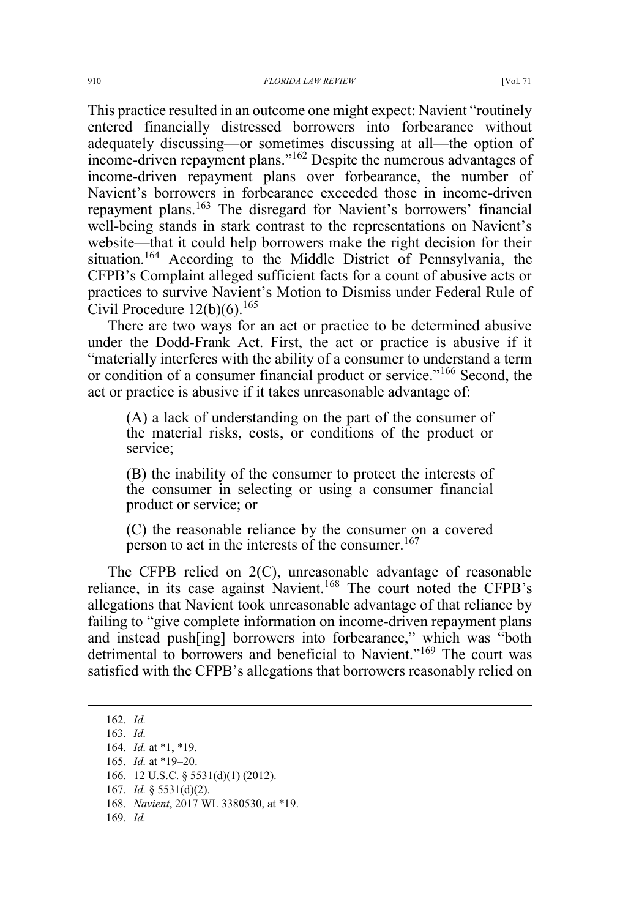This practice resulted in an outcome one might expect: Navient "routinely entered financially distressed borrowers into forbearance without adequately discussing—or sometimes discussing at all—the option of income-driven repayment plans."<sup>162</sup> Despite the numerous advantages of income-driven repayment plans over forbearance, the number of Navient's borrowers in forbearance exceeded those in income-driven repayment plans.<sup>163</sup> The disregard for Navient's borrowers' financial well-being stands in stark contrast to the representations on Navient's website—that it could help borrowers make the right decision for their situation.<sup>164</sup> According to the Middle District of Pennsylvania, the CFPB's Complaint alleged sufficient facts for a count of abusive acts or practices to survive Navient's Motion to Dismiss under Federal Rule of Civil Procedure  $12(b)(6)$ .<sup>165</sup>

There are two ways for an act or practice to be determined abusive under the Dodd-Frank Act. First, the act or practice is abusive if it "materially interferes with the ability of a consumer to understand a term or condition of a consumer financial product or service."<sup>166</sup> Second, the act or practice is abusive if it takes unreasonable advantage of:

(A) a lack of understanding on the part of the consumer of the material risks, costs, or conditions of the product or service;

(B) the inability of the consumer to protect the interests of the consumer in selecting or using a consumer financial product or service; or

(C) the reasonable reliance by the consumer on a covered person to act in the interests of the consumer.<sup>167</sup>

The CFPB relied on 2(C), unreasonable advantage of reasonable reliance, in its case against Navient.<sup>168</sup> The court noted the CFPB's allegations that Navient took unreasonable advantage of that reliance by failing to "give complete information on income-driven repayment plans and instead push[ing] borrowers into forbearance," which was "both detrimental to borrowers and beneficial to Navient."<sup>169</sup> The court was satisfied with the CFPB's allegations that borrowers reasonably relied on

 <sup>162.</sup> *Id.* 163. *Id.* 164. *Id.* at \*1, \*19. 165. *Id.* at \*19–20. 166. 12 U.S.C. § 5531(d)(1) (2012). 167. *Id.* § 5531(d)(2). 168. *Navient*, 2017 WL 3380530, at \*19. 169. *Id.*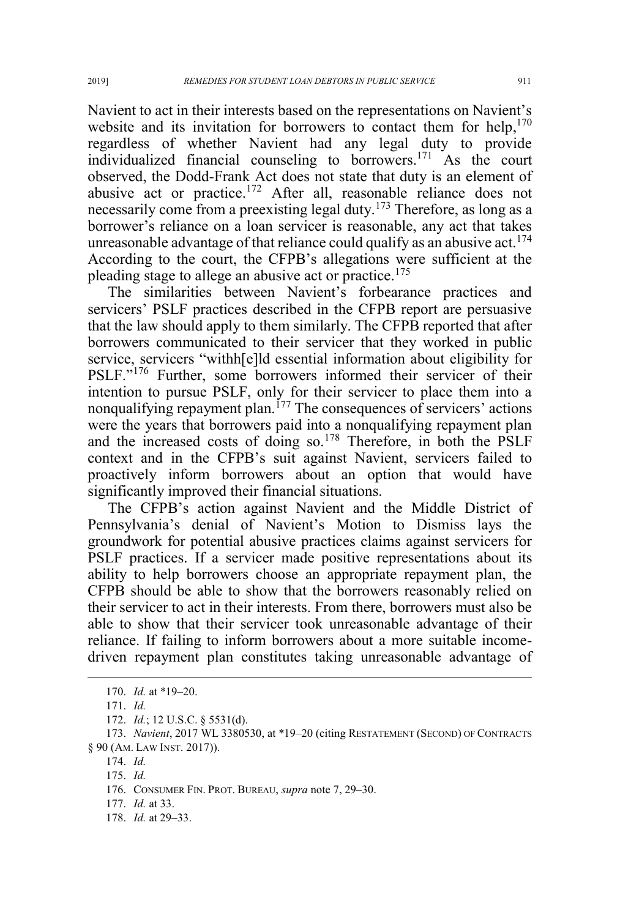Navient to act in their interests based on the representations on Navient's website and its invitation for borrowers to contact them for help, $170$ regardless of whether Navient had any legal duty to provide individualized financial counseling to borrowers.<sup>171</sup> As the court observed, the Dodd-Frank Act does not state that duty is an element of abusive act or practice.<sup>172</sup> After all, reasonable reliance does not necessarily come from a preexisting legal duty.<sup>173</sup> Therefore, as long as a borrower's reliance on a loan servicer is reasonable, any act that takes unreasonable advantage of that reliance could qualify as an abusive act.<sup>174</sup> According to the court, the CFPB's allegations were sufficient at the pleading stage to allege an abusive act or practice.<sup>175</sup>

The similarities between Navient's forbearance practices and servicers' PSLF practices described in the CFPB report are persuasive that the law should apply to them similarly. The CFPB reported that after borrowers communicated to their servicer that they worked in public service, servicers "withh[e]ld essential information about eligibility for PSLF."<sup>176</sup> Further, some borrowers informed their servicer of their intention to pursue PSLF, only for their servicer to place them into a nonqualifying repayment plan.<sup> $177$ </sup> The consequences of servicers' actions were the years that borrowers paid into a nonqualifying repayment plan and the increased costs of doing so.<sup>178</sup> Therefore, in both the PSLF context and in the CFPB's suit against Navient, servicers failed to proactively inform borrowers about an option that would have significantly improved their financial situations.

The CFPB's action against Navient and the Middle District of Pennsylvania's denial of Navient's Motion to Dismiss lays the groundwork for potential abusive practices claims against servicers for PSLF practices. If a servicer made positive representations about its ability to help borrowers choose an appropriate repayment plan, the CFPB should be able to show that the borrowers reasonably relied on their servicer to act in their interests. From there, borrowers must also be able to show that their servicer took unreasonable advantage of their reliance. If failing to inform borrowers about a more suitable incomedriven repayment plan constitutes taking unreasonable advantage of

174. *Id.*

175. *Id.*

 <sup>170.</sup> *Id.* at \*19–20.

<sup>171.</sup> *Id.*

<sup>172.</sup> *Id.*; 12 U.S.C. § 5531(d).

<sup>173.</sup> *Navient*, 2017 WL 3380530, at \*19–20 (citing RESTATEMENT (SECOND) OF CONTRACTS § 90 (AM. LAW INST. 2017)).

<sup>176.</sup> CONSUMER FIN. PROT. BUREAU, *supra* note 7, 29–30.

<sup>177.</sup> *Id.* at 33.

<sup>178.</sup> *Id.* at 29–33.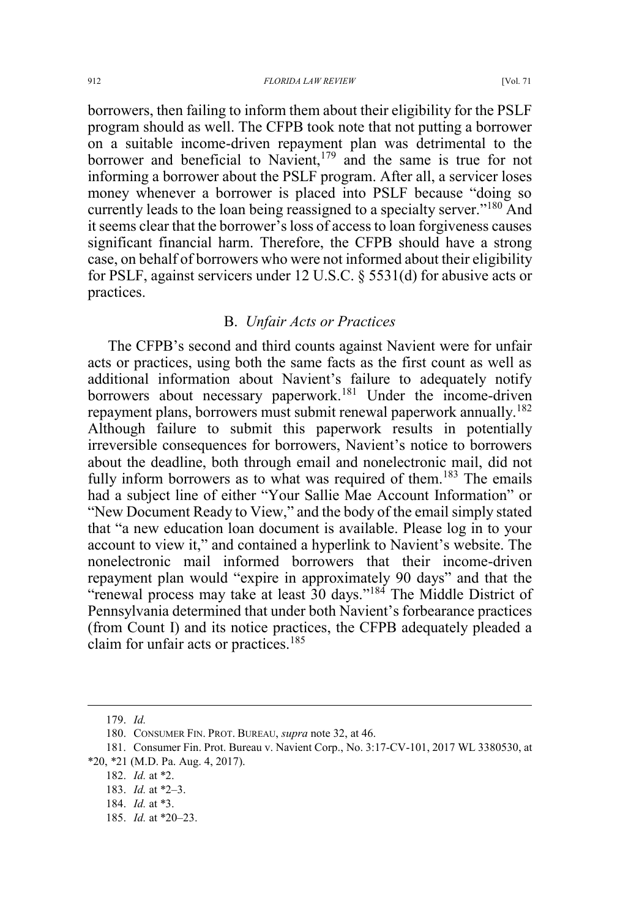borrowers, then failing to inform them about their eligibility for the PSLF program should as well. The CFPB took note that not putting a borrower on a suitable income-driven repayment plan was detrimental to the borrower and beneficial to Navient, $179$  and the same is true for not informing a borrower about the PSLF program. After all, a servicer loses money whenever a borrower is placed into PSLF because "doing so currently leads to the loan being reassigned to a specialty server."<sup>180</sup> And it seems clear that the borrower's loss of access to loan forgiveness causes significant financial harm. Therefore, the CFPB should have a strong case, on behalf of borrowers who were not informed about their eligibility for PSLF, against servicers under 12 U.S.C. § 5531(d) for abusive acts or practices.

### B. *Unfair Acts or Practices*

The CFPB's second and third counts against Navient were for unfair acts or practices, using both the same facts as the first count as well as additional information about Navient's failure to adequately notify borrowers about necessary paperwork.<sup>181</sup> Under the income-driven repayment plans, borrowers must submit renewal paperwork annually.<sup>182</sup> Although failure to submit this paperwork results in potentially irreversible consequences for borrowers, Navient's notice to borrowers about the deadline, both through email and nonelectronic mail, did not fully inform borrowers as to what was required of them.<sup>183</sup> The emails had a subject line of either "Your Sallie Mae Account Information" or "New Document Ready to View," and the body of the email simply stated that "a new education loan document is available. Please log in to your account to view it," and contained a hyperlink to Navient's website. The nonelectronic mail informed borrowers that their income-driven repayment plan would "expire in approximately 90 days" and that the "renewal process may take at least 30 days."<sup>184</sup> The Middle District of Pennsylvania determined that under both Navient's forbearance practices (from Count I) and its notice practices, the CFPB adequately pleaded a claim for unfair acts or practices.<sup>185</sup>

185. *Id.* at \*20–23.

 <sup>179.</sup> *Id.*

<sup>180.</sup> CONSUMER FIN. PROT. BUREAU, *supra* note 32, at 46.

<sup>181.</sup> Consumer Fin. Prot. Bureau v. Navient Corp., No. 3:17-CV-101, 2017 WL 3380530, at \*20, \*21 (M.D. Pa. Aug. 4, 2017).

<sup>182.</sup> *Id.* at \*2.

<sup>183.</sup> *Id.* at \*2–3.

<sup>184.</sup> *Id.* at \*3.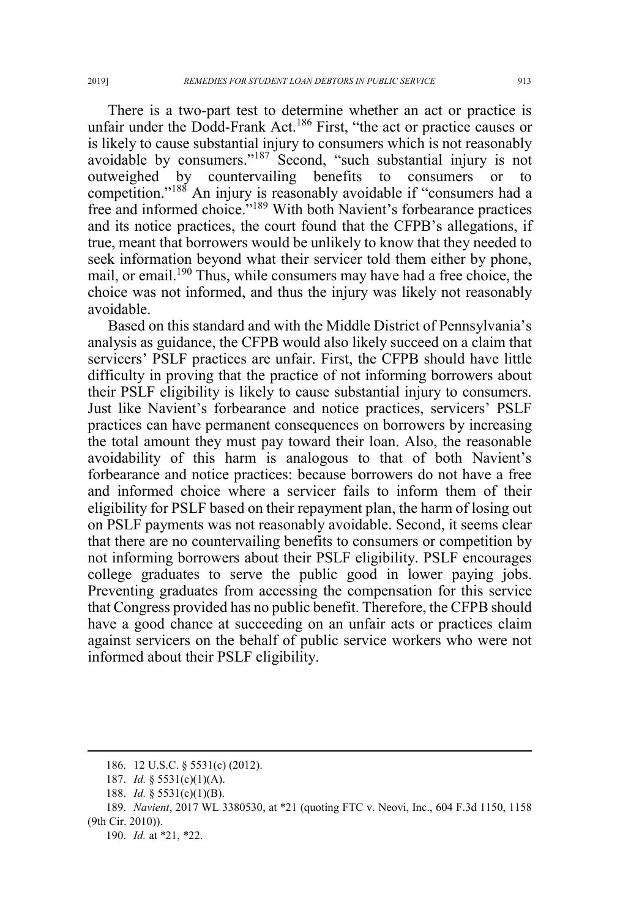There is a two-part test to determine whether an act or practice is unfair under the Dodd-Frank Act.<sup>186</sup> First, "the act or practice causes or is likely to cause substantial injury to consumers which is not reasonably avoidable by consumers."<sup>187</sup> Second, "such substantial injury is not outweighed by countervailing benefits to consumers or to competition."<sup>188</sup> An injury is reasonably avoidable if "consumers had a free and informed choice."<sup>189</sup> With both Navient's forbearance practices and its notice practices, the court found that the CFPB's allegations, if true, meant that borrowers would be unlikely to know that they needed to seek information beyond what their servicer told them either by phone, mail, or email.<sup>190</sup> Thus, while consumers may have had a free choice, the choice was not informed, and thus the injury was likely not reasonably avoidable.

Based on this standard and with the Middle District of Pennsylvania's analysis as guidance, the CFPB would also likely succeed on a claim that servicers' PSLF practices are unfair. First, the CFPB should have little difficulty in proving that the practice of not informing borrowers about their PSLF eligibility is likely to cause substantial injury to consumers. Just like Navient's forbearance and notice practices, servicers' PSLF practices can have permanent consequences on borrowers by increasing the total amount they must pay toward their loan. Also, the reasonable avoidability of this harm is analogous to that of both Navient's forbearance and notice practices: because borrowers do not have a free and informed choice where a servicer fails to inform them of their eligibility for PSLF based on their repayment plan, the harm of losing out on PSLF payments was not reasonably avoidable. Second, it seems clear that there are no countervailing benefits to consumers or competition by not informing borrowers about their PSLF eligibility. PSLF encourages college graduates to serve the public good in lower paying jobs. Preventing graduates from accessing the compensation for this service that Congress provided has no public benefit. Therefore, the CFPB should have a good chance at succeeding on an unfair acts or practices claim against servicers on the behalf of public service workers who were not informed about their PSLF eligibility.

190. *Id.* at \*21, \*22.

 <sup>186. 12</sup> U.S.C. § 5531(c) (2012).

<sup>187.</sup> *Id.* § 5531(c)(1)(A).

<sup>188.</sup> *Id.* § 5531(c)(1)(B).

<sup>189.</sup> *Navient*, 2017 WL 3380530, at \*21 (quoting FTC v. Neovi, Inc., 604 F.3d 1150, 1158 (9th Cir. 2010)).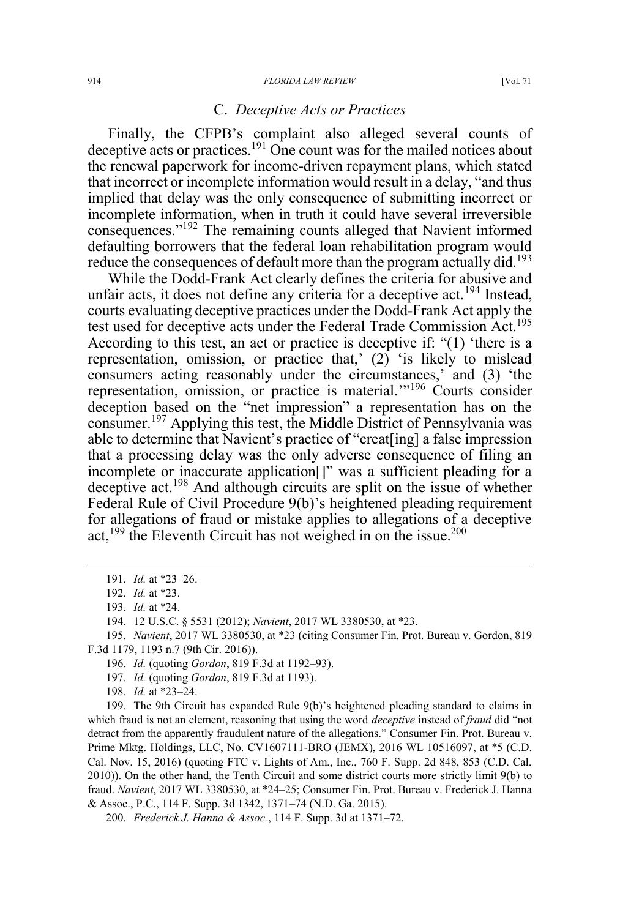#### C. *Deceptive Acts or Practices*

Finally, the CFPB's complaint also alleged several counts of deceptive acts or practices.<sup>191</sup> One count was for the mailed notices about the renewal paperwork for income-driven repayment plans, which stated that incorrect or incomplete information would result in a delay, "and thus implied that delay was the only consequence of submitting incorrect or incomplete information, when in truth it could have several irreversible consequences."<sup>192</sup> The remaining counts alleged that Navient informed defaulting borrowers that the federal loan rehabilitation program would reduce the consequences of default more than the program actually did.<sup>193</sup>

While the Dodd-Frank Act clearly defines the criteria for abusive and unfair acts, it does not define any criteria for a deceptive act.<sup>194</sup> Instead, courts evaluating deceptive practices under the Dodd-Frank Act apply the test used for deceptive acts under the Federal Trade Commission Act.<sup>195</sup> According to this test, an act or practice is deceptive if: "(1) 'there is a representation, omission, or practice that,' (2) 'is likely to mislead consumers acting reasonably under the circumstances,' and (3) 'the representation, omission, or practice is material.'"<sup>196</sup> Courts consider deception based on the "net impression" a representation has on the consumer.<sup>197</sup> Applying this test, the Middle District of Pennsylvania was able to determine that Navient's practice of "creat[ing] a false impression that a processing delay was the only adverse consequence of filing an incomplete or inaccurate application[]" was a sufficient pleading for a deceptive act.<sup>198</sup> And although circuits are split on the issue of whether Federal Rule of Civil Procedure 9(b)'s heightened pleading requirement for allegations of fraud or mistake applies to allegations of a deceptive act,<sup>199</sup> the Eleventh Circuit has not weighed in on the issue.<sup>200</sup>

196. *Id.* (quoting *Gordon*, 819 F.3d at 1192–93).

198. *Id.* at \*23–24.

199. The 9th Circuit has expanded Rule 9(b)'s heightened pleading standard to claims in which fraud is not an element, reasoning that using the word *deceptive* instead of *fraud* did "not detract from the apparently fraudulent nature of the allegations." Consumer Fin. Prot. Bureau v. Prime Mktg. Holdings, LLC, No. CV1607111-BRO (JEMX), 2016 WL 10516097, at \*5 (C.D. Cal. Nov. 15, 2016) (quoting FTC v. Lights of Am., Inc., 760 F. Supp. 2d 848, 853 (C.D. Cal. 2010)). On the other hand, the Tenth Circuit and some district courts more strictly limit 9(b) to fraud. *Navient*, 2017 WL 3380530, at \*24–25; Consumer Fin. Prot. Bureau v. Frederick J. Hanna & Assoc., P.C., 114 F. Supp. 3d 1342, 1371–74 (N.D. Ga. 2015).

200. *Frederick J. Hanna & Assoc.*, 114 F. Supp. 3d at 1371–72.

 <sup>191.</sup> *Id.* at \*23–26.

<sup>192.</sup> *Id.* at \*23.

<sup>193.</sup> *Id.* at \*24.

<sup>194. 12</sup> U.S.C. § 5531 (2012); *Navient*, 2017 WL 3380530, at \*23.

<sup>195.</sup> *Navient*, 2017 WL 3380530, at \*23 (citing Consumer Fin. Prot. Bureau v. Gordon, 819 F.3d 1179, 1193 n.7 (9th Cir. 2016)).

<sup>197.</sup> *Id.* (quoting *Gordon*, 819 F.3d at 1193).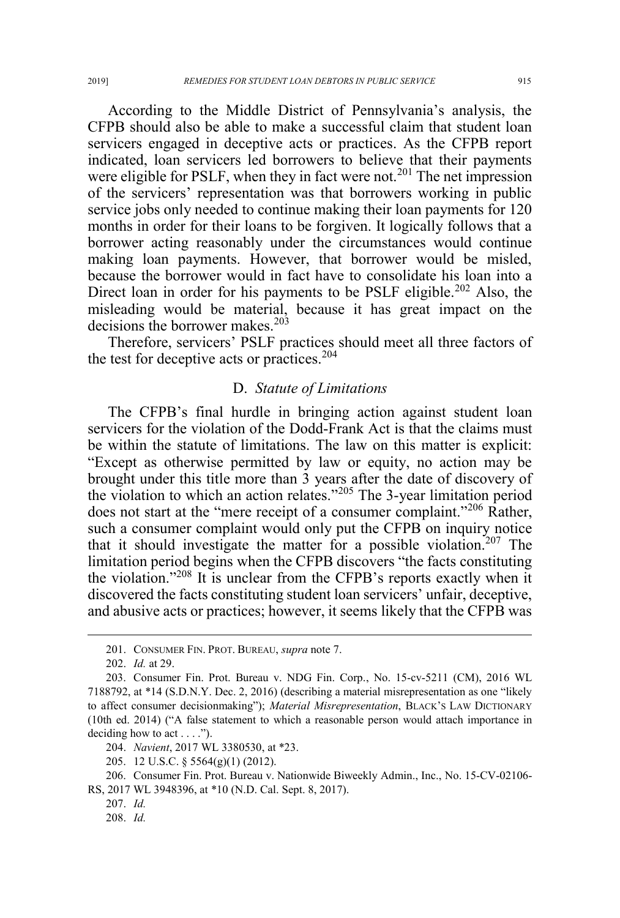According to the Middle District of Pennsylvania's analysis, the CFPB should also be able to make a successful claim that student loan servicers engaged in deceptive acts or practices. As the CFPB report indicated, loan servicers led borrowers to believe that their payments were eligible for PSLF, when they in fact were not.<sup>201</sup> The net impression of the servicers' representation was that borrowers working in public service jobs only needed to continue making their loan payments for 120 months in order for their loans to be forgiven. It logically follows that a borrower acting reasonably under the circumstances would continue making loan payments. However, that borrower would be misled, because the borrower would in fact have to consolidate his loan into a Direct loan in order for his payments to be PSLF eligible.<sup>202</sup> Also, the misleading would be material, because it has great impact on the decisions the borrower makes.<sup>203</sup>

Therefore, servicers' PSLF practices should meet all three factors of the test for deceptive acts or practices.<sup>204</sup>

### D. *Statute of Limitations*

The CFPB's final hurdle in bringing action against student loan servicers for the violation of the Dodd-Frank Act is that the claims must be within the statute of limitations. The law on this matter is explicit: "Except as otherwise permitted by law or equity, no action may be brought under this title more than 3 years after the date of discovery of the violation to which an action relates."<sup>205</sup> The 3-year limitation period does not start at the "mere receipt of a consumer complaint."<sup>206</sup> Rather, such a consumer complaint would only put the CFPB on inquiry notice that it should investigate the matter for a possible violation.<sup>207</sup> The limitation period begins when the CFPB discovers "the facts constituting the violation."<sup>208</sup> It is unclear from the CFPB's reports exactly when it discovered the facts constituting student loan servicers' unfair, deceptive, and abusive acts or practices; however, it seems likely that the CFPB was

 <sup>201.</sup> CONSUMER FIN. PROT. BUREAU, *supra* note 7.

<sup>202.</sup> *Id.* at 29.

<sup>203.</sup> Consumer Fin. Prot. Bureau v. NDG Fin. Corp., No. 15-cv-5211 (CM), 2016 WL 7188792, at \*14 (S.D.N.Y. Dec. 2, 2016) (describing a material misrepresentation as one "likely to affect consumer decisionmaking"); *Material Misrepresentation*, BLACK'S LAW DICTIONARY (10th ed. 2014) ("A false statement to which a reasonable person would attach importance in deciding how to act  $\dots$ .").

<sup>204.</sup> *Navient*, 2017 WL 3380530, at \*23.

<sup>205. 12</sup> U.S.C. § 5564(g)(1) (2012).

<sup>206.</sup> Consumer Fin. Prot. Bureau v. Nationwide Biweekly Admin., Inc., No. 15-CV-02106- RS, 2017 WL 3948396, at \*10 (N.D. Cal. Sept. 8, 2017).

<sup>207.</sup> *Id.*

<sup>208.</sup> *Id.*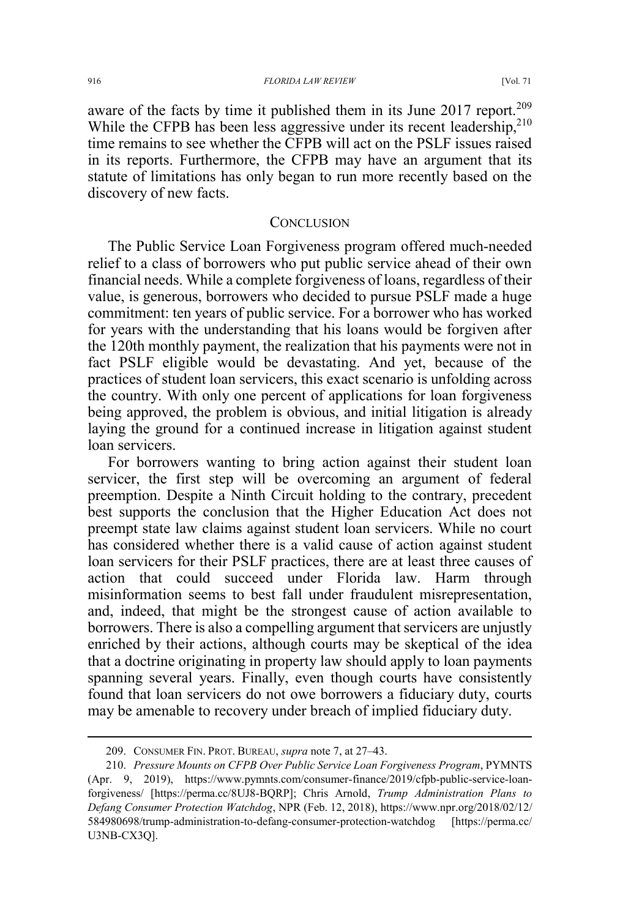#### 916 *FLORIDA LAW REVIEW* [Vol. 71

aware of the facts by time it published them in its June 2017 report.<sup>209</sup> While the CFPB has been less aggressive under its recent leadership,<sup>210</sup> time remains to see whether the CFPB will act on the PSLF issues raised in its reports. Furthermore, the CFPB may have an argument that its statute of limitations has only began to run more recently based on the discovery of new facts.

## **CONCLUSION**

The Public Service Loan Forgiveness program offered much-needed relief to a class of borrowers who put public service ahead of their own financial needs. While a complete forgiveness of loans, regardless of their value, is generous, borrowers who decided to pursue PSLF made a huge commitment: ten years of public service. For a borrower who has worked for years with the understanding that his loans would be forgiven after the 120th monthly payment, the realization that his payments were not in fact PSLF eligible would be devastating. And yet, because of the practices of student loan servicers, this exact scenario is unfolding across the country. With only one percent of applications for loan forgiveness being approved, the problem is obvious, and initial litigation is already laying the ground for a continued increase in litigation against student loan servicers.

For borrowers wanting to bring action against their student loan servicer, the first step will be overcoming an argument of federal preemption. Despite a Ninth Circuit holding to the contrary, precedent best supports the conclusion that the Higher Education Act does not preempt state law claims against student loan servicers. While no court has considered whether there is a valid cause of action against student loan servicers for their PSLF practices, there are at least three causes of action that could succeed under Florida law. Harm through misinformation seems to best fall under fraudulent misrepresentation, and, indeed, that might be the strongest cause of action available to borrowers. There is also a compelling argument that servicers are unjustly enriched by their actions, although courts may be skeptical of the idea that a doctrine originating in property law should apply to loan payments spanning several years. Finally, even though courts have consistently found that loan servicers do not owe borrowers a fiduciary duty, courts may be amenable to recovery under breach of implied fiduciary duty.

 <sup>209.</sup> CONSUMER FIN. PROT. BUREAU, *supra* note 7, at 27–43.

<sup>210.</sup> *Pressure Mounts on CFPB Over Public Service Loan Forgiveness Program*, PYMNTS (Apr. 9, 2019), https://www.pymnts.com/consumer-finance/2019/cfpb-public-service-loanforgiveness/ [https://perma.cc/8UJ8-BQRP]; Chris Arnold, *Trump Administration Plans to Defang Consumer Protection Watchdog*, NPR (Feb. 12, 2018), https://www.npr.org/2018/02/12/ 584980698/trump-administration-to-defang-consumer-protection-watchdog [https://perma.cc/ U3NB-CX3Q].